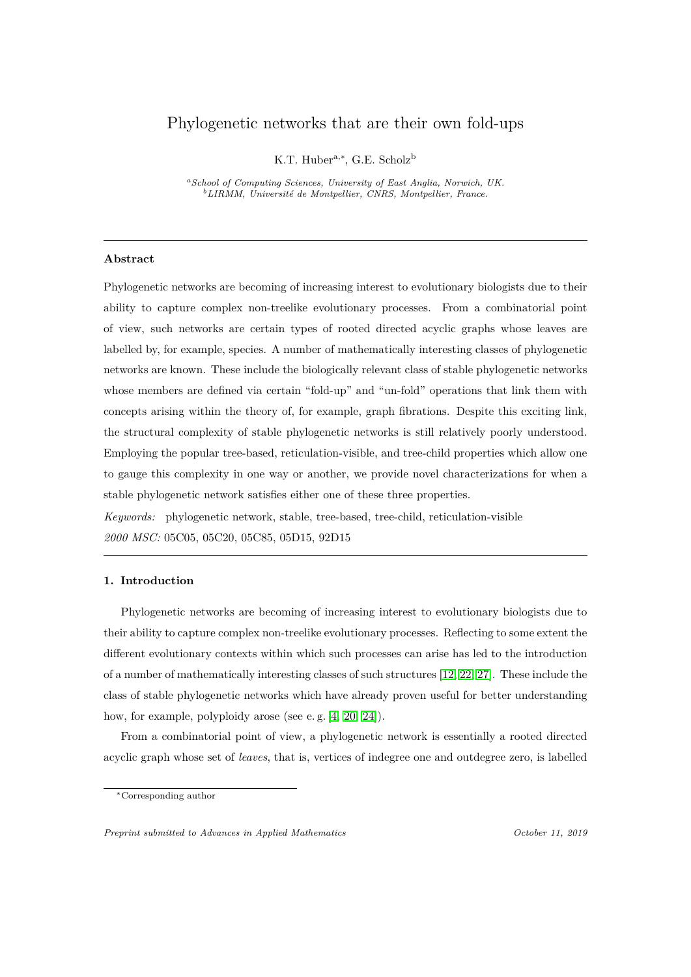# Phylogenetic networks that are their own fold-ups

K.T. Huber<sup>a,\*</sup>, G.E. Scholz<sup>b</sup>

*<sup>a</sup>School of Computing Sciences, University of East Anglia, Norwich, UK. <sup>b</sup>LIRMM, Université de Montpellier, CNRS, Montpellier, France.*

### **Abstract**

Phylogenetic networks are becoming of increasing interest to evolutionary biologists due to their ability to capture complex non-treelike evolutionary processes. From a combinatorial point of view, such networks are certain types of rooted directed acyclic graphs whose leaves are labelled by, for example, species. A number of mathematically interesting classes of phylogenetic networks are known. These include the biologically relevant class of stable phylogenetic networks whose members are defined via certain "fold-up" and "un-fold" operations that link them with concepts arising within the theory of, for example, graph fibrations. Despite this exciting link, the structural complexity of stable phylogenetic networks is still relatively poorly understood. Employing the popular tree-based, reticulation-visible, and tree-child properties which allow one to gauge this complexity in one way or another, we provide novel characterizations for when a stable phylogenetic network satisfies either one of these three properties.

*Keywords:* phylogenetic network, stable, tree-based, tree-child, reticulation-visible *2000 MSC:* 05C05, 05C20, 05C85, 05D15, 92D15

# **1. Introduction**

Phylogenetic networks are becoming of increasing interest to evolutionary biologists due to their ability to capture complex non-treelike evolutionary processes. Reflecting to some extent the different evolutionary contexts within which such processes can arise has led to the introduction of a number of mathematically interesting classes of such structures [\[12,](#page-23-0) [22,](#page-24-0) [27\]](#page-24-1). These include the class of stable phylogenetic networks which have already proven useful for better understanding how, for example, polyploidy arose (see e.g. [\[4,](#page-22-0) [20,](#page-24-2) [24\]](#page-24-3)).

From a combinatorial point of view, a phylogenetic network is essentially a rooted directed acyclic graph whose set of *leaves*, that is, vertices of indegree one and outdegree zero, is labelled

*Preprint submitted to Advances in Applied Mathematics October 11, 2019*

<sup>∗</sup>Corresponding author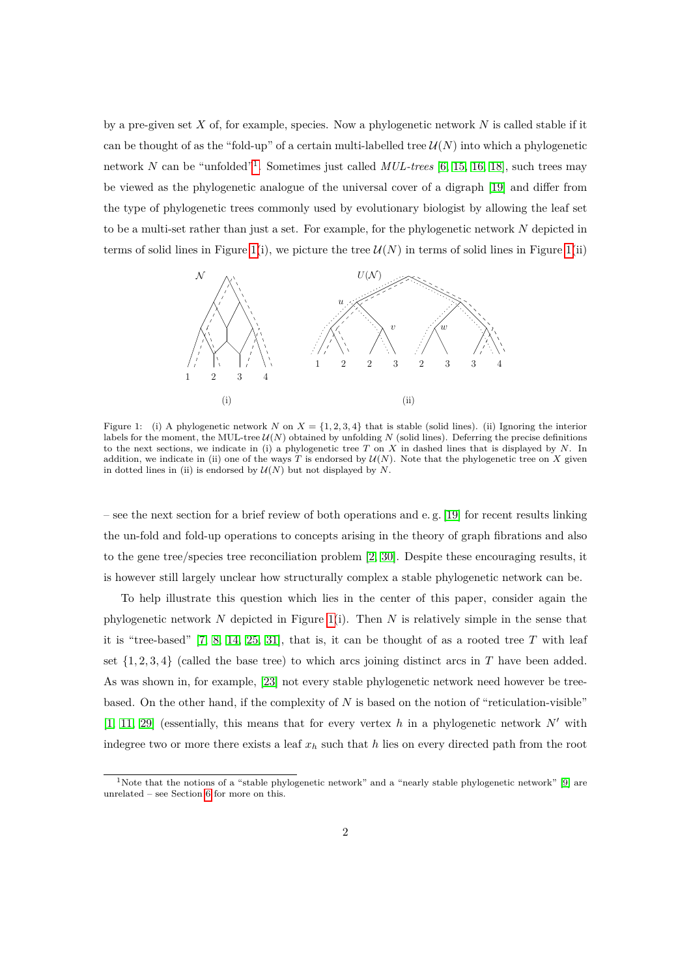by a pre-given set *X* of, for example, species. Now a phylogenetic network *N* is called stable if it can be thought of as the "fold-up" of a certain multi-labelled tree  $\mathcal{U}(N)$  into which a phylogenetic network *N* can be "unfolded"<sup>[1](#page-1-0)</sup>. Sometimes just called *MUL-trees* [\[6,](#page-23-1) [15,](#page-23-2) [16,](#page-23-3) [18\]](#page-24-4), such trees may be viewed as the phylogenetic analogue of the universal cover of a digraph [\[19\]](#page-24-5) and differ from the type of phylogenetic trees commonly used by evolutionary biologist by allowing the leaf set to be a multi-set rather than just a set. For example, for the phylogenetic network *N* depicted in terms of solid lines in Figure [1\(](#page-1-1)i), we picture the tree  $\mathcal{U}(N)$  in terms of solid lines in Figure 1(ii)



<span id="page-1-1"></span>Figure 1: (i) A phylogenetic network *N* on  $X = \{1, 2, 3, 4\}$  that is stable (solid lines). (ii) Ignoring the interior labels for the moment, the MUL-tree  $U(N)$  obtained by unfolding  $N$  (solid lines). Deferring the precise definitions to the next sections, we indicate in (i) a phylogenetic tree *T* on *X* in dashed lines that is displayed by *N*. In addition, we indicate in (ii) one of the ways  $T$  is endorsed by  $U(N)$ . Note that the phylogenetic tree on  $X$  given in dotted lines in (ii) is endorsed by  $U(N)$  but not displayed by  $N$ .

– see the next section for a brief review of both operations and e. g. [\[19\]](#page-24-5) for recent results linking the un-fold and fold-up operations to concepts arising in the theory of graph fibrations and also to the gene tree/species tree reconciliation problem [\[2,](#page-22-1) [30\]](#page-24-6). Despite these encouraging results, it is however still largely unclear how structurally complex a stable phylogenetic network can be.

To help illustrate this question which lies in the center of this paper, consider again the phylogenetic network *N* depicted in Figure [1\(](#page-1-1)i). Then *N* is relatively simple in the sense that it is "tree-based"  $[7, 8, 14, 25, 31]$  $[7, 8, 14, 25, 31]$  $[7, 8, 14, 25, 31]$  $[7, 8, 14, 25, 31]$  $[7, 8, 14, 25, 31]$ , that is, it can be thought of as a rooted tree  $T$  with leaf set  $\{1, 2, 3, 4\}$  (called the base tree) to which arcs joining distinct arcs in  $T$  have been added. As was shown in, for example, [\[23\]](#page-24-8) not every stable phylogenetic network need however be treebased. On the other hand, if the complexity of *N* is based on the notion of "reticulation-visible"  $[1, 11, 29]$  $[1, 11, 29]$  $[1, 11, 29]$  (essentially, this means that for every vertex h in a phylogenetic network N' with indegree two or more there exists a leaf  $x_h$  such that *h* lies on every directed path from the root

<span id="page-1-0"></span><sup>1</sup>Note that the notions of a "stable phylogenetic network" and a "nearly stable phylogenetic network" [\[9\]](#page-23-8) are unrelated – see Section [6](#page-14-0) for more on this.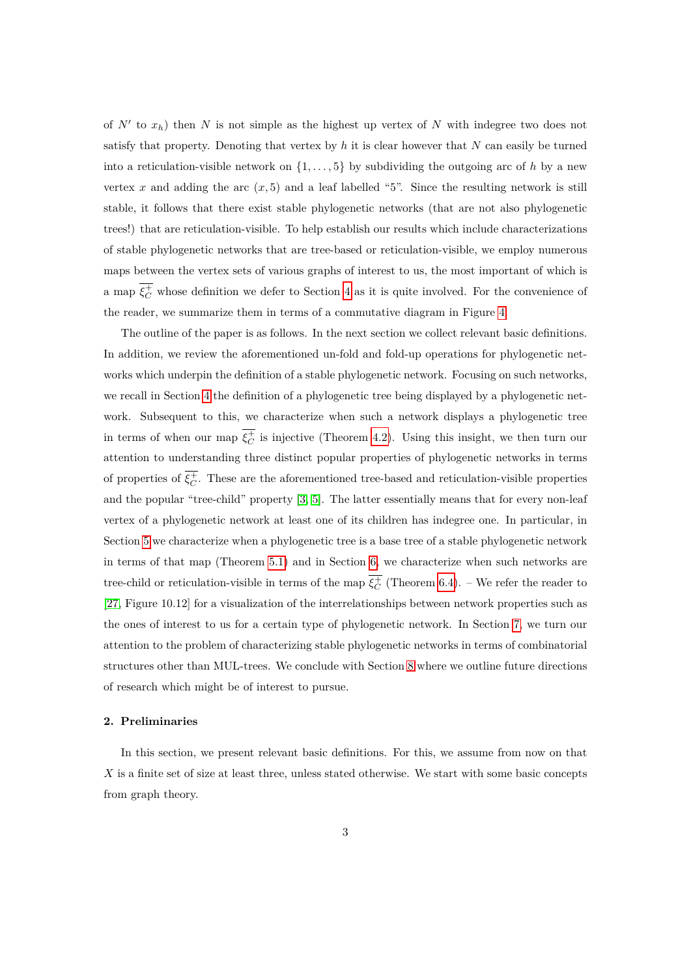of  $N'$  to  $x_h$ ) then  $N$  is not simple as the highest up vertex of  $N$  with indegree two does not satisfy that property. Denoting that vertex by *h* it is clear however that *N* can easily be turned into a reticulation-visible network on {1*, . . . ,* 5} by subdividing the outgoing arc of *h* by a new vertex *x* and adding the arc  $(x, 5)$  and a leaf labelled "5". Since the resulting network is still stable, it follows that there exist stable phylogenetic networks (that are not also phylogenetic trees!) that are reticulation-visible. To help establish our results which include characterizations of stable phylogenetic networks that are tree-based or reticulation-visible, we employ numerous maps between the vertex sets of various graphs of interest to us, the most important of which is a map  $\xi_C^+$  whose definition we defer to Section [4](#page-8-0) as it is quite involved. For the convenience of the reader, we summarize them in terms of a commutative diagram in Figure [4.](#page-11-0)

The outline of the paper is as follows. In the next section we collect relevant basic definitions. In addition, we review the aforementioned un-fold and fold-up operations for phylogenetic networks which underpin the definition of a stable phylogenetic network. Focusing on such networks, we recall in Section [4](#page-8-0) the definition of a phylogenetic tree being displayed by a phylogenetic network. Subsequent to this, we characterize when such a network displays a phylogenetic tree in terms of when our map  $\xi_C^+$  is injective (Theorem [4.2\)](#page-11-1). Using this insight, we then turn our attention to understanding three distinct popular properties of phylogenetic networks in terms of properties of  $\overline{\xi_C^+}$ . These are the aforementioned tree-based and reticulation-visible properties and the popular "tree-child" property [\[3,](#page-22-3) [5\]](#page-22-4). The latter essentially means that for every non-leaf vertex of a phylogenetic network at least one of its children has indegree one. In particular, in Section [5](#page-12-0) we characterize when a phylogenetic tree is a base tree of a stable phylogenetic network in terms of that map (Theorem [5.1\)](#page-13-0) and in Section [6,](#page-14-0) we characterize when such networks are tree-child or reticulation-visible in terms of the map  $\overline{\xi_C^+}$  (Theorem [6.4\)](#page-17-0). – We refer the reader to [\[27,](#page-24-1) Figure 10.12] for a visualization of the interrelationships between network properties such as the ones of interest to us for a certain type of phylogenetic network. In Section [7,](#page-19-0) we turn our attention to the problem of characterizing stable phylogenetic networks in terms of combinatorial structures other than MUL-trees. We conclude with Section [8](#page-21-0) where we outline future directions of research which might be of interest to pursue.

# **2. Preliminaries**

In this section, we present relevant basic definitions. For this, we assume from now on that *X* is a finite set of size at least three, unless stated otherwise. We start with some basic concepts from graph theory.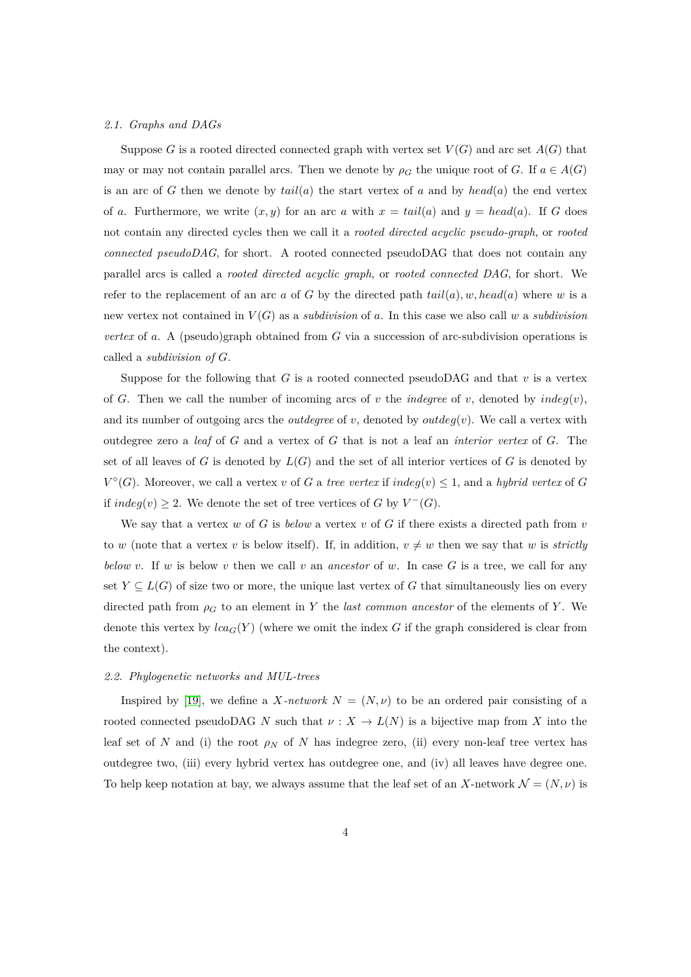# *2.1. Graphs and DAGs*

Suppose *G* is a rooted directed connected graph with vertex set  $V(G)$  and arc set  $A(G)$  that may or may not contain parallel arcs. Then we denote by  $\rho_G$  the unique root of *G*. If  $a \in A(G)$ is an arc of *G* then we denote by  $tail(a)$  the start vertex of *a* and by  $head(a)$  the end vertex of *a*. Furthermore, we write  $(x, y)$  for an arc *a* with  $x = tail(a)$  and  $y = head(a)$ . If *G* does not contain any directed cycles then we call it a *rooted directed acyclic pseudo-graph*, or *rooted connected pseudoDAG*, for short. A rooted connected pseudoDAG that does not contain any parallel arcs is called a *rooted directed acyclic graph*, or *rooted connected DAG*, for short. We refer to the replacement of an arc *a* of *G* by the directed path  $tail(a), w, head(a)$  where *w* is a new vertex not contained in *V* (*G*) as a *subdivision* of *a*. In this case we also call *w* a *subdivision vertex* of *a*. A (pseudo)graph obtained from *G* via a succession of arc-subdivision operations is called a *subdivision of G*.

Suppose for the following that *G* is a rooted connected pseudoDAG and that *v* is a vertex of *G*. Then we call the number of incoming arcs of *v* the *indegree* of *v*, denoted by  $indeg(v)$ , and its number of outgoing arcs the *outdegree* of  $v$ , denoted by *outdeg*( $v$ ). We call a vertex with outdegree zero a *leaf* of *G* and a vertex of *G* that is not a leaf an *interior vertex* of *G*. The set of all leaves of *G* is denoted by *L*(*G*) and the set of all interior vertices of *G* is denoted by  $V^{\circ}(G)$ . Moreover, we call a vertex *v* of *G* a *tree vertex* if  $indeg(v) \leq 1$ , and a *hybrid vertex* of *G* if  $indeg(v)$  ≥ 2. We denote the set of tree vertices of *G* by  $V^-(G)$ .

We say that a vertex *w* of *G* is *below* a vertex *v* of *G* if there exists a directed path from *v* to *w* (note that a vertex *v* is below itself). If, in addition,  $v \neq w$  then we say that *w* is *strictly below*  $v$ . If  $w$  is below  $v$  then we call  $v$  an *ancestor* of  $w$ . In case  $G$  is a tree, we call for any set  $Y \subseteq L(G)$  of size two or more, the unique last vertex of G that simultaneously lies on every directed path from  $\rho_G$  to an element in *Y* the *last common ancestor* of the elements of *Y*. We denote this vertex by  $lca_G(Y)$  (where we omit the index G if the graph considered is clear from the context).

#### *2.2. Phylogenetic networks and MUL-trees*

Inspired by [\[19\]](#page-24-5), we define a *X*-network  $N = (N, \nu)$  to be an ordered pair consisting of a rooted connected pseudoDAG *N* such that  $\nu : X \to L(N)$  is a bijective map from *X* into the leaf set of *N* and (i) the root  $\rho_N$  of *N* has indegree zero, (ii) every non-leaf tree vertex has outdegree two, (iii) every hybrid vertex has outdegree one, and (iv) all leaves have degree one. To help keep notation at bay, we always assume that the leaf set of an *X*-network  $\mathcal{N} = (N, \nu)$  is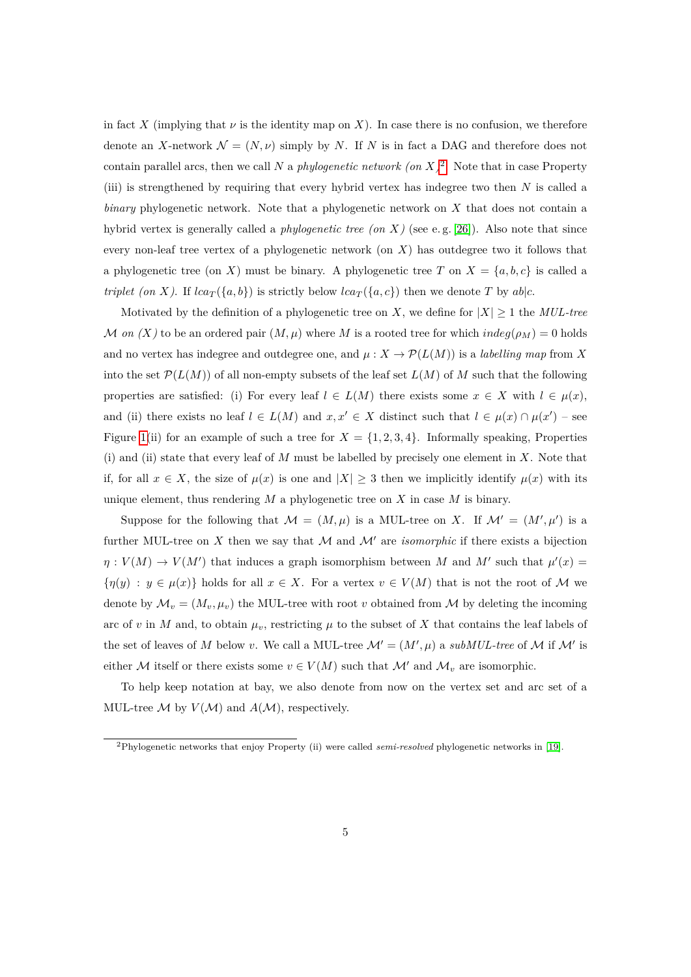in fact *X* (implying that  $\nu$  is the identity map on *X*). In case there is no confusion, we therefore denote an *X*-network  $\mathcal{N} = (N, \nu)$  simply by *N*. If *N* is in fact a DAG and therefore does not contain parallel arcs, then we call *N* a *phylogenetic network* (on  $X$ )<sup>[2](#page-4-0)</sup>. Note that in case Property (iii) is strengthened by requiring that every hybrid vertex has indegree two then *N* is called a *binary* phylogenetic network. Note that a phylogenetic network on *X* that does not contain a hybrid vertex is generally called a *phylogenetic tree (on X)* (see e.g. [\[26\]](#page-24-10)). Also note that since every non-leaf tree vertex of a phylogenetic network (on *X*) has outdegree two it follows that a phylogenetic tree (on *X*) must be binary. A phylogenetic tree *T* on  $X = \{a, b, c\}$  is called a *triplet (on X)*. If  $lca_T(\{a,b\})$  is strictly below  $lca_T(\{a,c\})$  then we denote *T* by  $ab|c$ .

Motivated by the definition of a phylogenetic tree on *X*, we define for  $|X| \geq 1$  the *MUL-tree* M on (*X*) to be an ordered pair  $(M, \mu)$  where M is a rooted tree for which  $indeg(\rho_M) = 0$  holds and no vertex has indegree and outdegree one, and  $\mu$  :  $X \to \mathcal{P}(L(M))$  is a *labelling map* from X into the set  $\mathcal{P}(L(M))$  of all non-empty subsets of the leaf set  $L(M)$  of M such that the following properties are satisfied: (i) For every leaf  $l \in L(M)$  there exists some  $x \in X$  with  $l \in \mu(x)$ , and (ii) there exists no leaf  $l \in L(M)$  and  $x, x' \in X$  distinct such that  $l \in \mu(x) \cap \mu(x')$  – see Figure [1\(](#page-1-1)ii) for an example of such a tree for  $X = \{1, 2, 3, 4\}$ . Informally speaking, Properties (i) and (ii) state that every leaf of *M* must be labelled by precisely one element in *X*. Note that if, for all  $x \in X$ , the size of  $\mu(x)$  is one and  $|X| \geq 3$  then we implicitly identify  $\mu(x)$  with its unique element, thus rendering *M* a phylogenetic tree on *X* in case *M* is binary.

Suppose for the following that  $\mathcal{M} = (M, \mu)$  is a MUL-tree on *X*. If  $\mathcal{M}' = (M', \mu')$  is a further MUL-tree on  $X$  then we say that  $M$  and  $M'$  are *isomorphic* if there exists a bijection  $\eta: V(M) \to V(M')$  that induces a graph isomorphism between *M* and *M'* such that  $\mu'(x) =$  ${\eta(y) : y \in \mu(x)}$  holds for all  $x \in X$ . For a vertex  $v \in V(M)$  that is not the root of M we denote by  $\mathcal{M}_v = (M_v, \mu_v)$  the MUL-tree with root *v* obtained from M by deleting the incoming arc of *v* in *M* and, to obtain  $\mu_v$ , restricting  $\mu$  to the subset of *X* that contains the leaf labels of the set of leaves of *M* below *v*. We call a MUL-tree  $\mathcal{M}' = (M', \mu)$  a *subMUL-tree* of  $\mathcal M$  if  $\mathcal M'$  is either M itself or there exists some  $v \in V(M)$  such that M' and  $\mathcal{M}_v$  are isomorphic.

To help keep notation at bay, we also denote from now on the vertex set and arc set of a MUL-tree  $\mathcal M$  by  $V(\mathcal M)$  and  $A(\mathcal M)$ , respectively.

<span id="page-4-0"></span><sup>2</sup>Phylogenetic networks that enjoy Property (ii) were called *semi-resolved* phylogenetic networks in [\[19\]](#page-24-5).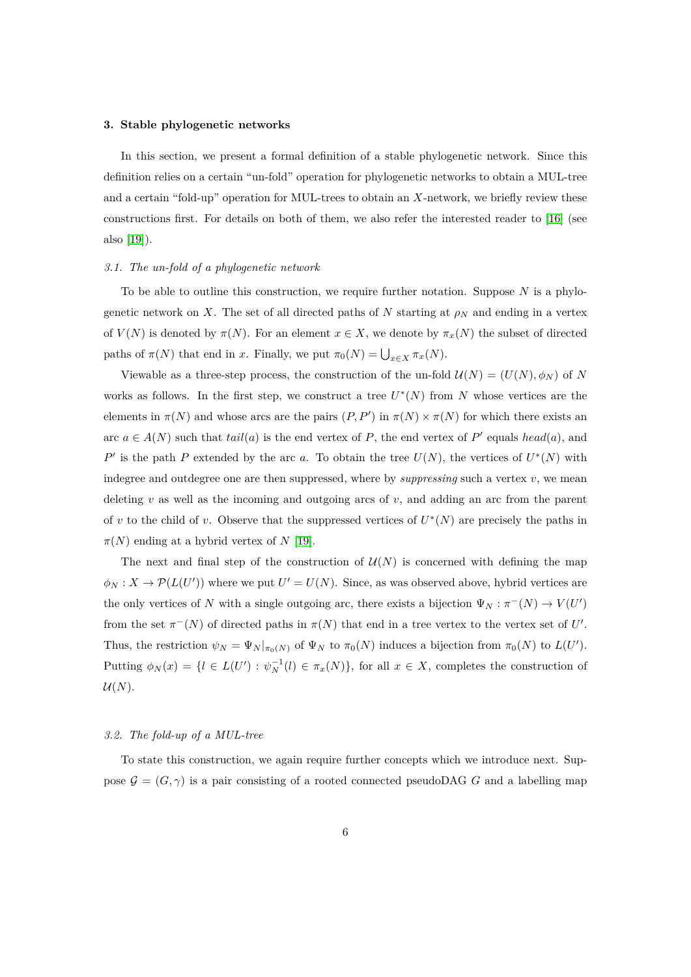#### **3. Stable phylogenetic networks**

In this section, we present a formal definition of a stable phylogenetic network. Since this definition relies on a certain "un-fold" operation for phylogenetic networks to obtain a MUL-tree and a certain "fold-up" operation for MUL-trees to obtain an *X*-network, we briefly review these constructions first. For details on both of them, we also refer the interested reader to [\[16\]](#page-23-3) (see also [\[19\]](#page-24-5)).

#### *3.1. The un-fold of a phylogenetic network*

To be able to outline this construction, we require further notation. Suppose *N* is a phylogenetic network on *X*. The set of all directed paths of *N* starting at  $\rho_N$  and ending in a vertex of  $V(N)$  is denoted by  $\pi(N)$ . For an element  $x \in X$ , we denote by  $\pi_x(N)$  the subset of directed paths of  $\pi(N)$  that end in *x*. Finally, we put  $\pi_0(N) = \bigcup_{x \in X} \pi_x(N)$ .

Viewable as a three-step process, the construction of the un-fold  $\mathcal{U}(N) = (U(N), \phi_N)$  of N works as follows. In the first step, we construct a tree  $U^*(N)$  from N whose vertices are the elements in  $\pi(N)$  and whose arcs are the pairs  $(P, P')$  in  $\pi(N) \times \pi(N)$  for which there exists an arc  $a \in A(N)$  such that  $tail(a)$  is the end vertex of *P*, the end vertex of *P'* equals  $head(a)$ , and  $P'$  is the path *P* extended by the arc *a*. To obtain the tree  $U(N)$ , the vertices of  $U^*(N)$  with indegree and outdegree one are then suppressed, where by *suppressing* such a vertex  $v$ , we mean deleting *v* as well as the incoming and outgoing arcs of *v*, and adding an arc from the parent of *v* to the child of *v*. Observe that the suppressed vertices of  $U^*(N)$  are precisely the paths in  $\pi(N)$  ending at a hybrid vertex of *N* [\[19\]](#page-24-5).

The next and final step of the construction of  $\mathcal{U}(N)$  is concerned with defining the map  $\phi_N: X \to \mathcal{P}(L(U'))$  where we put  $U' = U(N)$ . Since, as was observed above, hybrid vertices are the only vertices of *N* with a single outgoing arc, there exists a bijection  $\Psi_N : \pi^-(N) \to V(U')$ from the set  $\pi^{-}(N)$  of directed paths in  $\pi(N)$  that end in a tree vertex to the vertex set of *U'*. Thus, the restriction  $\psi_N = \Psi_N|_{\pi_0(N)}$  of  $\Psi_N$  to  $\pi_0(N)$  induces a bijection from  $\pi_0(N)$  to  $L(U')$ . Putting  $\phi_N(x) = \{l \in L(U') : \psi_N^{-1}(l) \in \pi_x(N)\},\$  for all  $x \in X$ , completes the construction of  $U(N)$ .

### *3.2. The fold-up of a MUL-tree*

To state this construction, we again require further concepts which we introduce next. Suppose  $\mathcal{G} = (G, \gamma)$  is a pair consisting of a rooted connected pseudoDAG G and a labelling map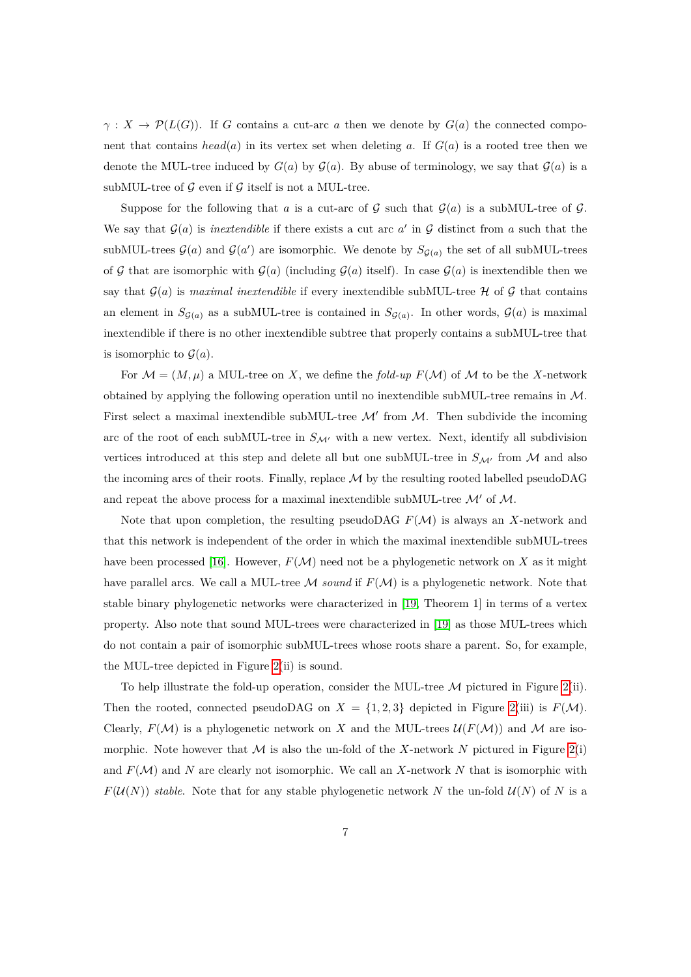$\gamma: X \to \mathcal{P}(L(G))$ . If *G* contains a cut-arc *a* then we denote by  $G(a)$  the connected component that contains  $head(a)$  in its vertex set when deleting *a*. If  $G(a)$  is a rooted tree then we denote the MUL-tree induced by  $G(a)$  by  $\mathcal{G}(a)$ . By abuse of terminology, we say that  $\mathcal{G}(a)$  is a subMUL-tree of  $\mathcal G$  even if  $\mathcal G$  itself is not a MUL-tree.

Suppose for the following that *a* is a cut-arc of  $G$  such that  $G(a)$  is a subMUL-tree of  $G$ . We say that  $\mathcal{G}(a)$  is *inextendible* if there exists a cut arc  $a'$  in  $\mathcal G$  distinct from  $a$  such that the subMUL-trees  $\mathcal{G}(a)$  and  $\mathcal{G}(a')$  are isomorphic. We denote by  $S_{\mathcal{G}(a)}$  the set of all subMUL-trees of G that are isomorphic with  $\mathcal{G}(a)$  (including  $\mathcal{G}(a)$  itself). In case  $\mathcal{G}(a)$  is inextendible then we say that  $\mathcal{G}(a)$  is *maximal inextendible* if every inextendible subMUL-tree  $\mathcal{H}$  of  $\mathcal{G}$  that contains an element in  $S_{\mathcal{G}(a)}$  as a subMUL-tree is contained in  $S_{\mathcal{G}(a)}$ . In other words,  $\mathcal{G}(a)$  is maximal inextendible if there is no other inextendible subtree that properly contains a subMUL-tree that is isomorphic to  $\mathcal{G}(a)$ .

For  $\mathcal{M} = (M, \mu)$  a MUL-tree on X, we define the *fold-up*  $F(\mathcal{M})$  of M to be the X-network obtained by applying the following operation until no inextendible subMUL-tree remains in  $M$ . First select a maximal inextendible subMUL-tree  $\mathcal{M}'$  from  $\mathcal{M}$ . Then subdivide the incoming arc of the root of each subMUL-tree in  $S_{\mathcal{M}'}$  with a new vertex. Next, identify all subdivision vertices introduced at this step and delete all but one subMUL-tree in  $S_{\mathcal{M}'}$  from M and also the incoming arcs of their roots. Finally, replace  $\mathcal M$  by the resulting rooted labelled pseudoDAG and repeat the above process for a maximal inextendible subMUL-tree  $\mathcal{M}'$  of  $\mathcal{M}$ .

Note that upon completion, the resulting pseudoDAG  $F(\mathcal{M})$  is always an *X*-network and that this network is independent of the order in which the maximal inextendible subMUL-trees have been processed [\[16\]](#page-23-3). However,  $F(\mathcal{M})$  need not be a phylogenetic network on X as it might have parallel arcs. We call a MUL-tree  $M$  *sound* if  $F(M)$  is a phylogenetic network. Note that stable binary phylogenetic networks were characterized in [\[19,](#page-24-5) Theorem 1] in terms of a vertex property. Also note that sound MUL-trees were characterized in [\[19\]](#page-24-5) as those MUL-trees which do not contain a pair of isomorphic subMUL-trees whose roots share a parent. So, for example, the MUL-tree depicted in Figure [2\(](#page-7-0)ii) is sound.

To help illustrate the fold-up operation, consider the MUL-tree  $\mathcal M$  pictured in Figure [2\(](#page-7-0)ii). Then the rooted, connected pseudoDAG on  $X = \{1,2,3\}$  depicted in Figure [2\(](#page-7-0)iii) is  $F(\mathcal{M})$ . Clearly,  $F(\mathcal{M})$  is a phylogenetic network on X and the MUL-trees  $\mathcal{U}(F(\mathcal{M}))$  and M are isomorphic. Note however that  $M$  is also the un-fold of the *X*-network  $N$  pictured in Figure [2\(](#page-7-0)i) and  $F(\mathcal{M})$  and N are clearly not isomorphic. We call an X-network N that is isomorphic with  $F(\mathcal{U}(N))$  *stable*. Note that for any stable phylogenetic network *N* the un-fold  $\mathcal{U}(N)$  of *N* is a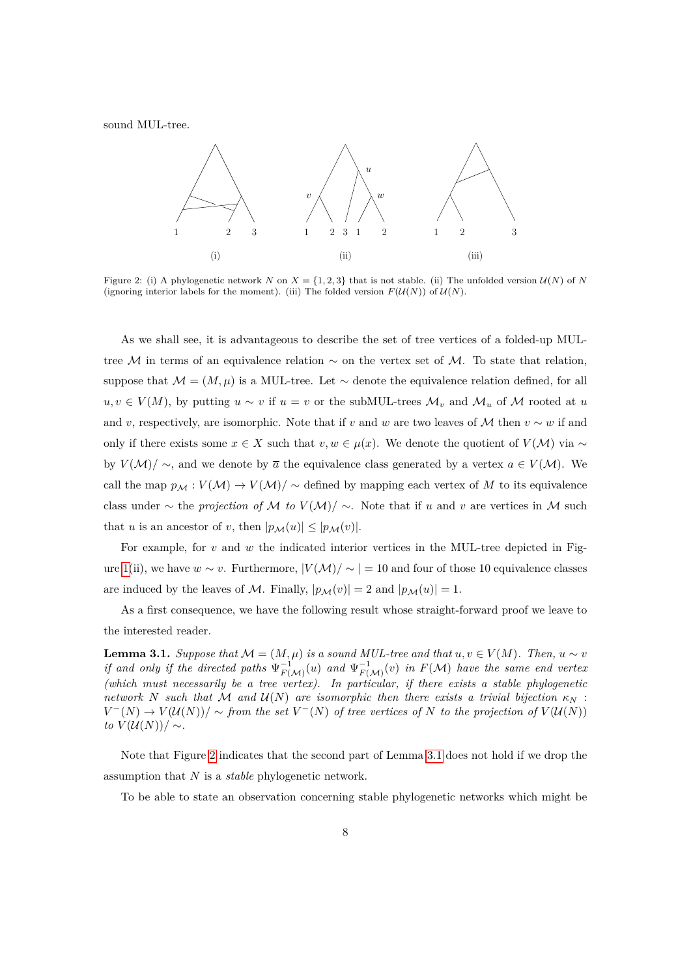sound MUL-tree.



<span id="page-7-0"></span>Figure 2: (i) A phylogenetic network *N* on  $X = \{1, 2, 3\}$  that is not stable. (ii) The unfolded version  $\mathcal{U}(N)$  of *N* (ignoring interior labels for the moment). (iii) The folded version  $F(\mathcal{U}(N))$  of  $\mathcal{U}(N)$ .

As we shall see, it is advantageous to describe the set of tree vertices of a folded-up MULtree M in terms of an equivalence relation  $\sim$  on the vertex set of M. To state that relation, suppose that  $\mathcal{M} = (M, \mu)$  is a MUL-tree. Let  $\sim$  denote the equivalence relation defined, for all  $u, v \in V(M)$ , by putting  $u \sim v$  if  $u = v$  or the subMUL-trees  $\mathcal{M}_v$  and  $\mathcal{M}_u$  of M rooted at *u* and *v*, respectively, are isomorphic. Note that if *v* and *w* are two leaves of M then  $v \sim w$  if and only if there exists some  $x \in X$  such that  $v, w \in \mu(x)$ . We denote the quotient of  $V(\mathcal{M})$  via  $\sim$ by  $V(M)/\sim$ , and we denote by  $\bar{a}$  the equivalence class generated by a vertex  $a \in V(M)$ . We call the map  $p_{\mathcal{M}} : V(\mathcal{M}) \to V(\mathcal{M})/\sim$  defined by mapping each vertex of M to its equivalence class under  $\sim$  the *projection of* M *to*  $V(\mathcal{M})/\sim$ . Note that if *u* and *v* are vertices in M such that *u* is an ancestor of *v*, then  $|p_M(u)| \leq |p_M(v)|$ .

For example, for *v* and *w* the indicated interior vertices in the MUL-tree depicted in Fig-ure [1\(](#page-1-1)ii), we have  $w \sim v$ . Furthermore,  $|V(M)/| \sim | = 10$  and four of those 10 equivalence classes are induced by the leaves of M. Finally,  $|p_M(v)| = 2$  and  $|p_M(u)| = 1$ .

As a first consequence, we have the following result whose straight-forward proof we leave to the interested reader.

<span id="page-7-1"></span>**Lemma 3.1.** *Suppose that*  $\mathcal{M} = (M, \mu)$  *is a sound MUL-tree and that*  $u, v \in V(M)$ *. Then,*  $u \sim v$ *if and only if the directed paths*  $\Psi_{F(\mathcal{M})}^{-1}(u)$  *and*  $\Psi_{F(\mathcal{M})}^{-1}(v)$  *in*  $F(\mathcal{M})$  *have the same end vertex (which must necessarily be a tree vertex). In particular, if there exists a stable phylogenetic network N such that M and*  $U(N)$  *are isomorphic then there exists a trivial bijection*  $\kappa_N$  :  $V^-(N) \to V(\mathcal{U}(N))/ \sim$  *from the set*  $V^-(N)$  *of tree vertices of*  $N$  *to the projection of*  $V(\mathcal{U}(N))$ *to*  $V(\mathcal{U}(N))/\sim$ .

Note that Figure [2](#page-7-0) indicates that the second part of Lemma [3.1](#page-7-1) does not hold if we drop the assumption that *N* is a *stable* phylogenetic network.

To be able to state an observation concerning stable phylogenetic networks which might be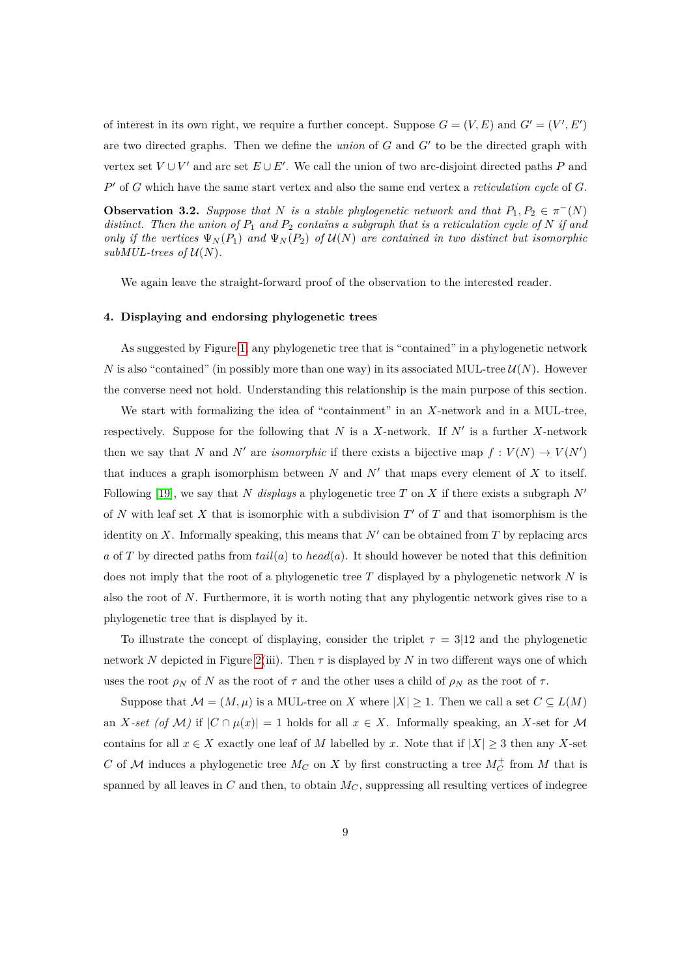of interest in its own right, we require a further concept. Suppose  $G = (V, E)$  and  $G' = (V', E')$ are two directed graphs. Then we define the *union* of  $G$  and  $G'$  to be the directed graph with vertex set  $V \cup V'$  and arc set  $E \cup E'$ . We call the union of two arc-disjoint directed paths *P* and *P*<sup> $\prime$ </sup> of *G* which have the same start vertex and also the same end vertex a *reticulation cycle* of *G*.

**Observation 3.2.** *Suppose that N is a stable phylogenetic network and that*  $P_1, P_2 \in \pi^{-1}(N)$ *distinct. Then the union of*  $P_1$  *and*  $P_2$  *contains a subgraph that is a reticulation cycle of* N *if and only if the vertices*  $\Psi_N(P_1)$  *and*  $\Psi_N(P_2)$  *of*  $U(N)$  *are contained in two distinct but isomorphic*  $subMUL-trees of  $U(N)$ .$ 

We again leave the straight-forward proof of the observation to the interested reader.

### <span id="page-8-0"></span>**4. Displaying and endorsing phylogenetic trees**

As suggested by Figure [1,](#page-1-1) any phylogenetic tree that is "contained" in a phylogenetic network N is also "contained" (in possibly more than one way) in its associated MUL-tree  $\mathcal{U}(N)$ . However the converse need not hold. Understanding this relationship is the main purpose of this section.

We start with formalizing the idea of "containment" in an *X*-network and in a MUL-tree, respectively. Suppose for the following that  $N$  is a  $X$ -network. If  $N'$  is a further  $X$ -network then we say that *N* and *N*<sup>*i*</sup> are *isomorphic* if there exists a bijective map  $f: V(N) \to V(N')$ that induces a graph isomorphism between  $N$  and  $N'$  that maps every element of  $X$  to itself. Following [\[19\]](#page-24-5), we say that *N displays* a phylogenetic tree *T* on *X* if there exists a subgraph  $N'$ of  $N$  with leaf set  $X$  that is isomorphic with a subdivision  $T'$  of  $T$  and that isomorphism is the identity on  $X$ . Informally speaking, this means that  $N'$  can be obtained from  $T$  by replacing arcs *a* of *T* by directed paths from  $tail(a)$  to  $head(a)$ . It should however be noted that this definition does not imply that the root of a phylogenetic tree *T* displayed by a phylogenetic network *N* is also the root of *N*. Furthermore, it is worth noting that any phylogentic network gives rise to a phylogenetic tree that is displayed by it.

To illustrate the concept of displaying, consider the triplet  $\tau = 3/12$  and the phylogenetic network N depicted in Figure [2\(](#page-7-0)iii). Then  $\tau$  is displayed by N in two different ways one of which uses the root  $\rho_N$  of *N* as the root of  $\tau$  and the other uses a child of  $\rho_N$  as the root of  $\tau$ .

Suppose that  $\mathcal{M} = (M, \mu)$  is a MUL-tree on *X* where  $|X| \geq 1$ . Then we call a set  $C \subseteq L(M)$ an *X*-set (of M) if  $|C \cap \mu(x)| = 1$  holds for all  $x \in X$ . Informally speaking, an X-set for M contains for all  $x \in X$  exactly one leaf of *M* labelled by *x*. Note that if  $|X| \geq 3$  then any *X*-set *C* of *M* induces a phylogenetic tree  $M_C$  on *X* by first constructing a tree  $M_C^+$  from *M* that is spanned by all leaves in  $C$  and then, to obtain  $M_C$ , suppressing all resulting vertices of indegree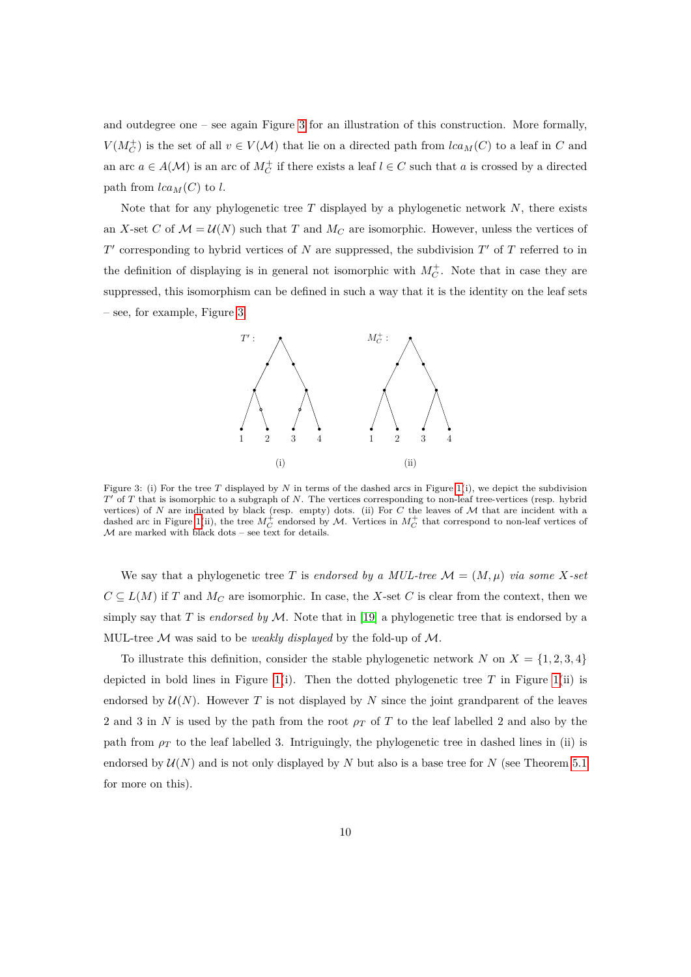and outdegree one – see again Figure [3](#page-9-0) for an illustration of this construction. More formally, *V*( $M_C^+$ ) is the set of all  $v \in V(\mathcal{M})$  that lie on a directed path from  $lca_M(C)$  to a leaf in *C* and an arc  $a \in A(\mathcal{M})$  is an arc of  $M_C^+$  if there exists a leaf  $l \in C$  such that *a* is crossed by a directed path from  $lca_M(C)$  to *l*.

Note that for any phylogenetic tree *T* displayed by a phylogenetic network *N*, there exists an *X*-set *C* of  $M = U(N)$  such that *T* and  $M_C$  are isomorphic. However, unless the vertices of  $T'$  corresponding to hybrid vertices of  $N$  are suppressed, the subdivision  $T'$  of  $T$  referred to in the definition of displaying is in general not isomorphic with  $M_C^+$ . Note that in case they are suppressed, this isomorphism can be defined in such a way that it is the identity on the leaf sets – see, for example, Figure [3.](#page-9-0)



<span id="page-9-0"></span>Figure 3: (i) For the tree *T* displayed by *N* in terms of the dashed arcs in Figure [1\(](#page-1-1)i), we depict the subdivision *T*<sup>'</sup> of *T* that is isomorphic to a subgraph of *N*. The vertices corresponding to non-leaf tree-vertices (resp. hybrid vertices) of *N* are indicated by black (resp. empty) dots. (ii) For *C* the leaves of M that are incident with a dashed arc in Figure [1\(](#page-1-1)ii), the tree  $M_C^+$  endorsed by M. Vertices in  $M_C^+$  that correspond to non-leaf vertices of  $M$  are marked with black dots – see text for details.

We say that a phylogenetic tree *T* is *endorsed by a MUL-tree*  $\mathcal{M} = (M, \mu)$  *via some X-set*  $C \subseteq L(M)$  if *T* and  $M_C$  are isomorphic. In case, the *X*-set *C* is clear from the context, then we simply say that *T* is *endorsed by*  $M$ . Note that in [\[19\]](#page-24-5) a phylogenetic tree that is endorsed by a MUL-tree M was said to be *weakly displayed* by the fold-up of M.

To illustrate this definition, consider the stable phylogenetic network *N* on  $X = \{1, 2, 3, 4\}$ depicted in bold lines in Figure [1\(](#page-1-1)i). Then the dotted phylogenetic tree  $T$  in Figure 1(ii) is endorsed by  $U(N)$ . However *T* is not displayed by *N* since the joint grandparent of the leaves 2 and 3 in *N* is used by the path from the root *ρ<sup>T</sup>* of *T* to the leaf labelled 2 and also by the path from  $\rho_T$  to the leaf labelled 3. Intriguingly, the phylogenetic tree in dashed lines in (ii) is endorsed by  $\mathcal{U}(N)$  and is not only displayed by  $N$  but also is a base tree for  $N$  (see Theorem [5.1](#page-13-0)) for more on this).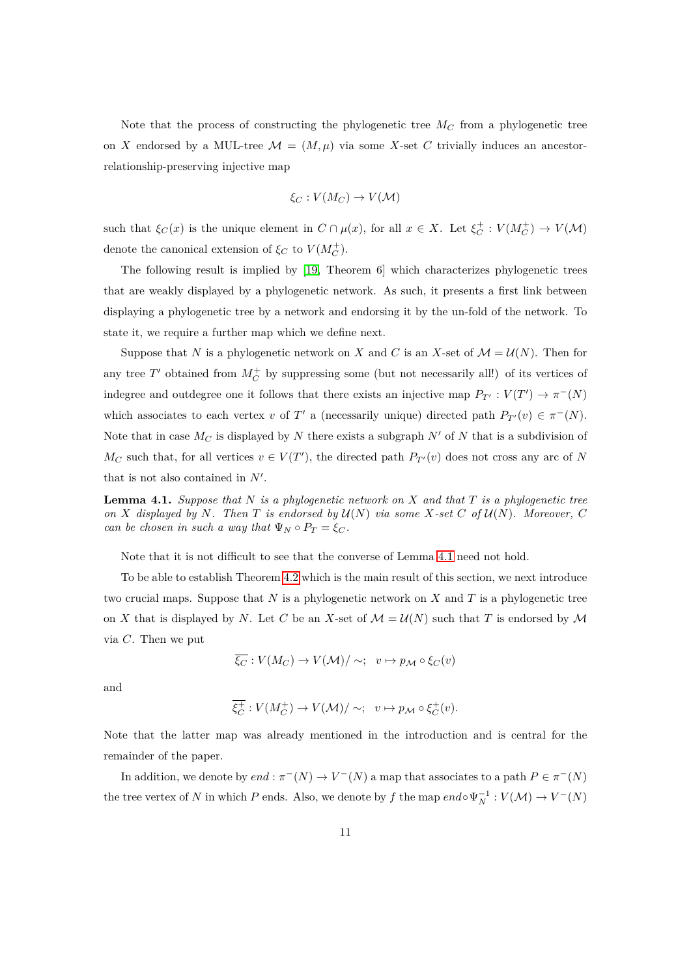Note that the process of constructing the phylogenetic tree *M<sup>C</sup>* from a phylogenetic tree on *X* endorsed by a MUL-tree  $\mathcal{M} = (M, \mu)$  via some *X*-set *C* trivially induces an ancestorrelationship-preserving injective map

$$
\xi_C: V(M_C) \to V(\mathcal{M})
$$

such that  $\xi_C(x)$  is the unique element in  $C \cap \mu(x)$ , for all  $x \in X$ . Let  $\xi_C^+ : V(M_C^+) \to V(M)$ denote the canonical extension of  $\xi_C$  to  $V(M_C^+)$ .

The following result is implied by [\[19,](#page-24-5) Theorem 6] which characterizes phylogenetic trees that are weakly displayed by a phylogenetic network. As such, it presents a first link between displaying a phylogenetic tree by a network and endorsing it by the un-fold of the network. To state it, we require a further map which we define next.

Suppose that *N* is a phylogenetic network on *X* and *C* is an *X*-set of  $\mathcal{M} = \mathcal{U}(N)$ . Then for any tree  $T'$  obtained from  $M_C^+$  by suppressing some (but not necessarily all!) of its vertices of indegree and outdegree one it follows that there exists an injective map  $P_{T'} : V(T') \to \pi^{-}(N)$ which associates to each vertex *v* of *T*<sup>'</sup> a (necessarily unique) directed path  $P_{T}(v) \in \pi^{-}(N)$ . Note that in case  $M_C$  is displayed by  $N$  there exists a subgraph  $N'$  of  $N$  that is a subdivision of  $M_C$  such that, for all vertices  $v \in V(T')$ , the directed path  $P_{T'}(v)$  does not cross any arc of *N* that is not also contained in  $N'$ .

<span id="page-10-0"></span>**Lemma 4.1.** *Suppose that N is a phylogenetic network on X and that T is a phylogenetic tree on X displayed by N.* Then *T is endorsed by*  $U(N)$  *via some X-set C of*  $U(N)$ *. Moreover, C can be chosen in such a way that*  $\Psi_N \circ P_T = \xi_C$ .

Note that it is not difficult to see that the converse of Lemma [4.1](#page-10-0) need not hold.

To be able to establish Theorem [4.2](#page-11-1) which is the main result of this section, we next introduce two crucial maps. Suppose that *N* is a phylogenetic network on *X* and *T* is a phylogenetic tree on *X* that is displayed by *N*. Let *C* be an *X*-set of  $\mathcal{M} = \mathcal{U}(N)$  such that *T* is endorsed by  $\mathcal{M}$ via *C*. Then we put

$$
\overline{\xi_C} : V(M_C) \to V(\mathcal{M})/\sim; \quad v \mapsto p_{\mathcal{M}} \circ \xi_C(v)
$$

and

$$
\overline{\xi_C^+}: V(M_C^+) \to V(\mathcal{M})/\sim; \quad v \mapsto p_{\mathcal{M}} \circ \xi_C^+(v).
$$

Note that the latter map was already mentioned in the introduction and is central for the remainder of the paper.

In addition, we denote by  $end : \pi^{-}(N) \to V^{-}(N)$  a map that associates to a path  $P \in \pi^{-}(N)$ the tree vertex of *N* in which *P* ends. Also, we denote by *f* the map  $end \circ \Psi_N^{-1}: V(\mathcal{M}) \to V^-(N)$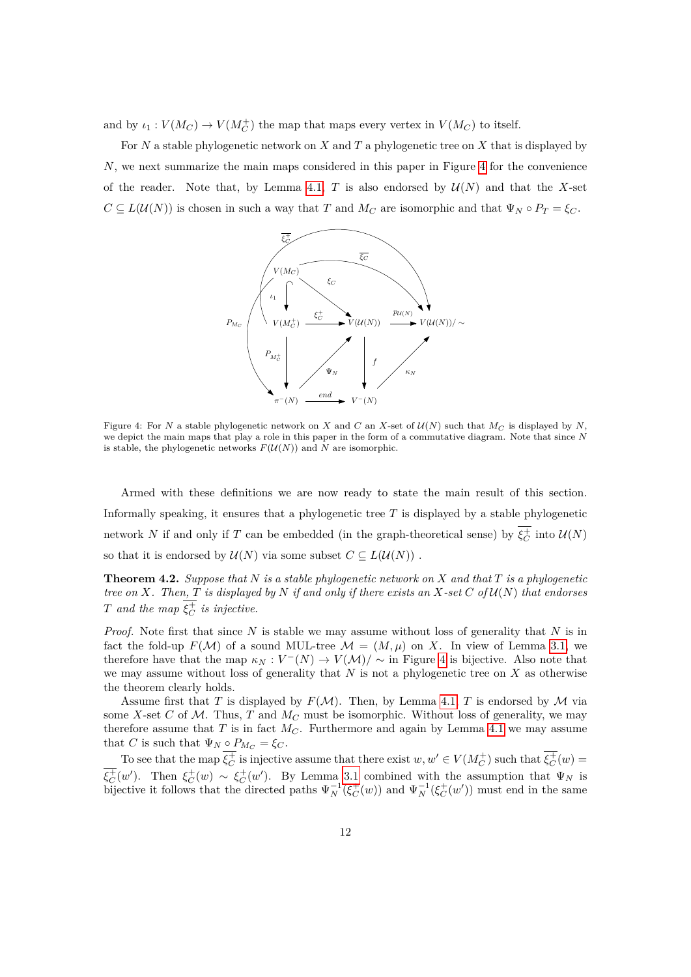and by  $\iota_1: V(M_C) \to V(M_C^+)$  the map that maps every vertex in  $V(M_C)$  to itself.

For *N* a stable phylogenetic network on *X* and *T* a phylogenetic tree on *X* that is displayed by *N*, we next summarize the main maps considered in this paper in Figure [4](#page-11-0) for the convenience of the reader. Note that, by Lemma [4.1,](#page-10-0)  $T$  is also endorsed by  $U(N)$  and that the  $X$ -set  $C \subseteq L(\mathcal{U}(N))$  is chosen in such a way that *T* and  $M_C$  are isomorphic and that  $\Psi_N \circ P_T = \xi_C$ .



<span id="page-11-0"></span>Figure 4: For *N* a stable phylogenetic network on *X* and *C* an *X*-set of  $U(N)$  such that  $M_C$  is displayed by N, we depict the main maps that play a role in this paper in the form of a commutative diagram. Note that since *N* is stable, the phylogenetic networks  $F(\mathcal{U}(N))$  and *N* are isomorphic.

Armed with these definitions we are now ready to state the main result of this section. Informally speaking, it ensures that a phylogenetic tree *T* is displayed by a stable phylogenetic network *N* if and only if *T* can be embedded (in the graph-theoretical sense) by  $\overline{\xi_C^+}$  into  $\mathcal{U}(N)$ so that it is endorsed by  $\mathcal{U}(N)$  via some subset  $C \subseteq L(\mathcal{U}(N))$ .

<span id="page-11-1"></span>**Theorem 4.2.** *Suppose that N is a stable phylogenetic network on X and that T is a phylogenetic tree on*  $X$ *. Then,*  $T$  *is displayed by*  $N$  *if and only if there exists an*  $X$ -set  $C$  *of*  $U(N)$  *that endorses T* and the map  $\xi_C^+$  is injective.

*Proof.* Note first that since *N* is stable we may assume without loss of generality that *N* is in fact the fold-up  $F(\mathcal{M})$  of a sound MUL-tree  $\mathcal{M} = (M, \mu)$  on X. In view of Lemma [3.1,](#page-7-1) we therefore have that the map  $\kappa_N : V^-(N) \to V(\mathcal{M})/ \sim$  in Figure [4](#page-11-0) is bijective. Also note that we may assume without loss of generality that *N* is not a phylogenetic tree on *X* as otherwise the theorem clearly holds.

Assume first that *T* is displayed by  $F(M)$ . Then, by Lemma [4.1,](#page-10-0) *T* is endorsed by *M* via some *X*-set *C* of *M*. Thus, *T* and  $M_C$  must be isomorphic. Without loss of generality, we may therefore assume that  $T$  is in fact  $M_C$ . Furthermore and again by Lemma [4.1](#page-10-0) we may assume that *C* is such that  $\Psi_N \circ P_{M_C} = \xi_C$ .

To see that the map  $\xi_C^+$  is injective assume that there exist  $w, w' \in V(M_C^+)$  such that  $\xi_C^+(w)$  $\overline{\xi_C^+}(w')$ . Then  $\xi_C^+(w) \sim \xi_C^+(w')$ . By Lemma [3.1](#page-7-1) combined with the assumption that  $\Psi_N$  is bijective it follows that the directed paths  $\Psi_N^{-1}(\xi_C^+(w))$  and  $\Psi_N^{-1}(\xi_C^+(w'))$  must end in the same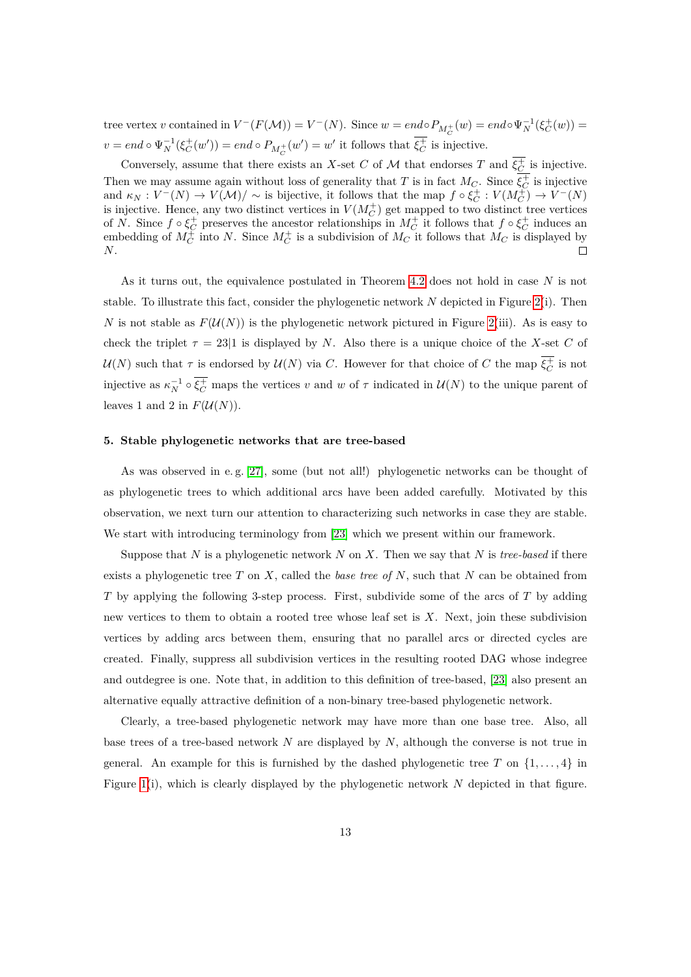tree vertex *v* contained in  $V^-(F(\mathcal{M})) = V^-(N)$ . Since  $w = end \circ P_{M_C^+}(w) = end \circ \Psi_N^{-1}(\xi_C^+(w)) =$  $v = end \circ \Psi_N^{-1}(\xi_C^+(w')) = end \circ P_{M_C^+}(w') = w'$  it follows that  $\overline{\xi_C^+}$  is injective.

Conversely, assume that there exists an *X*-set *C* of *M* that endorses *T* and  $\xi_C^+$  is injective. Then we may assume again without loss of generality that *T* is in fact  $M_C$ . Since  $\xi_C^+$  is injective and  $\kappa_N : V^-(N) \to V(\mathcal{M})/ \sim$  is bijective, it follows that the map  $f \circ \xi_C^+ : V(M_C^{\pm}) \to V^-(N)$ is injective. Hence, any two distinct vertices in  $V(M_C^+)$  get mapped to two distinct tree vertices of *N*. Since  $f \circ \xi_C^+$  preserves the ancestor relationships in  $M_C^+$  it follows that  $f \circ \xi_C^+$  induces an embedding of  $M_C^+$  into *N*. Since  $M_C^+$  is a subdivision of  $M_C$  it follows that  $M_C$  is displayed by *N*.

As it turns out, the equivalence postulated in Theorem [4.2](#page-11-1) does not hold in case *N* is not stable. To illustrate this fact, consider the phylogenetic network *N* depicted in Figure [2\(](#page-7-0)i). Then *N* is not stable as  $F(\mathcal{U}(N))$  is the phylogenetic network pictured in Figure [2\(](#page-7-0)iii). As is easy to check the triplet  $\tau = 23|1$  is displayed by *N*. Also there is a unique choice of the *X*-set *C* of  $\mathcal{U}(N)$  such that  $\tau$  is endorsed by  $\mathcal{U}(N)$  via *C*. However for that choice of *C* the map  $\xi_C^+$  is not injective as  $\kappa_N^{-1} \circ \overline{\xi_C^+}$  maps the vertices *v* and *w* of *τ* indicated in  $\mathcal{U}(N)$  to the unique parent of leaves 1 and 2 in  $F(\mathcal{U}(N))$ .

#### <span id="page-12-0"></span>**5. Stable phylogenetic networks that are tree-based**

As was observed in e.g. [\[27\]](#page-24-1), some (but not all!) phylogenetic networks can be thought of as phylogenetic trees to which additional arcs have been added carefully. Motivated by this observation, we next turn our attention to characterizing such networks in case they are stable. We start with introducing terminology from [\[23\]](#page-24-8) which we present within our framework.

Suppose that *N* is a phylogenetic network *N* on *X*. Then we say that *N* is *tree-based* if there exists a phylogenetic tree *T* on *X*, called the *base tree of N*, such that *N* can be obtained from *T* by applying the following 3-step process. First, subdivide some of the arcs of *T* by adding new vertices to them to obtain a rooted tree whose leaf set is *X*. Next, join these subdivision vertices by adding arcs between them, ensuring that no parallel arcs or directed cycles are created. Finally, suppress all subdivision vertices in the resulting rooted DAG whose indegree and outdegree is one. Note that, in addition to this definition of tree-based, [\[23\]](#page-24-8) also present an alternative equally attractive definition of a non-binary tree-based phylogenetic network.

Clearly, a tree-based phylogenetic network may have more than one base tree. Also, all base trees of a tree-based network *N* are displayed by *N*, although the converse is not true in general. An example for this is furnished by the dashed phylogenetic tree *T* on {1*, . . . ,* 4} in Figure [1\(](#page-1-1)i), which is clearly displayed by the phylogenetic network *N* depicted in that figure.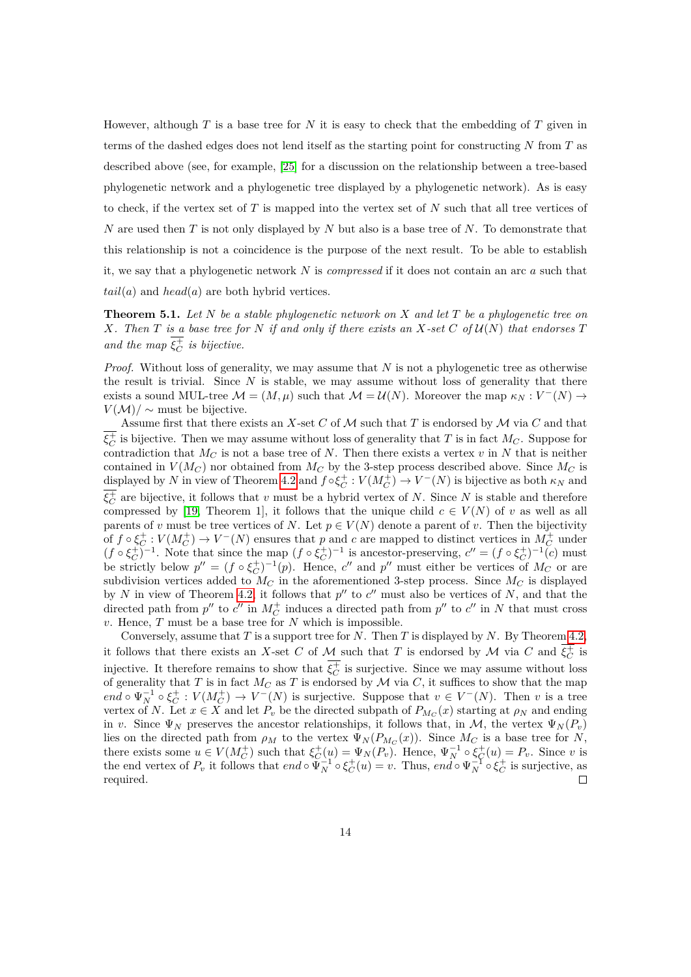However, although *T* is a base tree for *N* it is easy to check that the embedding of *T* given in terms of the dashed edges does not lend itself as the starting point for constructing *N* from *T* as described above (see, for example, [\[25\]](#page-24-7) for a discussion on the relationship between a tree-based phylogenetic network and a phylogenetic tree displayed by a phylogenetic network). As is easy to check, if the vertex set of *T* is mapped into the vertex set of *N* such that all tree vertices of *N* are used then *T* is not only displayed by *N* but also is a base tree of *N*. To demonstrate that this relationship is not a coincidence is the purpose of the next result. To be able to establish it, we say that a phylogenetic network *N* is *compressed* if it does not contain an arc *a* such that *tail*(*a*) and *head*(*a*) are both hybrid vertices.

<span id="page-13-0"></span>**Theorem 5.1.** *Let N be a stable phylogenetic network on X and let T be a phylogenetic tree on X.* Then  $T$  *is a base tree for*  $N$  *if and only if there exists an*  $X$ -set  $C$  *of*  $U(N)$  *that endorses*  $T$ *and the map*  $\overline{\xi_C^+}$  *is bijective.* 

*Proof.* Without loss of generality, we may assume that *N* is not a phylogenetic tree as otherwise the result is trivial. Since *N* is stable, we may assume without loss of generality that there exists a sound MUL-tree  $\mathcal{M} = (M, \mu)$  such that  $\mathcal{M} = \mathcal{U}(N)$ . Moreover the map  $\kappa_N : V^-(N) \to$  $V(M)/\sim$  must be bijective.

Assume first that there exists an  $X$ -set  $C$  of  $M$  such that  $T$  is endorsed by  $M$  via  $C$  and that  $\xi_C^+$  is bijective. Then we may assume without loss of generality that *T* is in fact  $M_C$ . Suppose for contradiction that  $M_C$  is not a base tree of  $N$ . Then there exists a vertex  $v$  in  $N$  that is neither contained in  $V(M_C)$  nor obtained from  $M_C$  by the 3-step process described above. Since  $M_C$  is displayed by *N* in view of Theorem [4.2](#page-11-1) and  $f \circ \xi_C^+ : V(M_C^+) \to V^-(N)$  is bijective as both  $\kappa_N$  and  $\overline{\xi_C^+}$  are bijective, it follows that *v* must be a hybrid vertex of *N*. Since *N* is stable and therefore compressed by [\[19,](#page-24-5) Theorem 1], it follows that the unique child  $c \in V(N)$  of *v* as well as all parents of *v* must be tree vertices of *N*. Let  $p \in V(N)$  denote a parent of *v*. Then the bijectivity of  $f \circ \xi_C^+ : V(M_C^+) \to V^-(N)$  ensures that *p* and *c* are mapped to distinct vertices in  $M_C^+$  under  $(f \circ \xi_C^+)^{-1}$ . Note that since the map  $(f \circ \xi_C^+)^{-1}$  is ancestor-preserving,  $c'' = (f \circ \xi_C^+)^{-1}(c)$  must be strictly below  $p'' = (f \circ \xi_C^+)^{-1}(p)$ . Hence,  $c''$  and  $p''$  must either be vertices of  $M_C$  or are subdivision vertices added to  $M_C$  in the aforementioned 3-step process. Since  $M_C$  is displayed by *N* in view of Theorem [4.2,](#page-11-1) it follows that  $p''$  to  $c''$  must also be vertices of *N*, and that the directed path from  $p''$  to  $c''$  in  $M_C^+$  induces a directed path from  $p''$  to  $c''$  in  $N$  that must cross *v*. Hence, *T* must be a base tree for *N* which is impossible.

Conversely, assume that *T* is a support tree for *N*. Then *T* is displayed by *N*. By Theorem [4.2,](#page-11-1) it follows that there exists an *X*-set *C* of *M* such that *T* is endorsed by *M* via *C* and  $\overline{\xi_C^+}$  is injective. It therefore remains to show that  $\xi_C^+$  is surjective. Since we may assume without loss of generality that *T* is in fact  $M_C$  as *T* is endorsed by  $M$  via  $C$ , it suffices to show that the map  $end \circ \Psi_N^{-1} \circ \xi_C^+ : V(M_C^+) \to V^-(N)$  is surjective. Suppose that  $v \in V^-(N)$ . Then *v* is a tree vertex of *N*. Let  $x \in X$  and let  $P_v$  be the directed subpath of  $P_{M_C}(x)$  starting at  $\rho_N$  and ending in *v*. Since  $\Psi_N$  preserves the ancestor relationships, it follows that, in M, the vertex  $\Psi_N(P_v)$ lies on the directed path from  $\rho_M$  to the vertex  $\Psi_N(P_{M_C}(x))$ . Since  $M_C$  is a base tree for *N*, there exists some  $u \in V(M_C^+)$  such that  $\xi_C^+(u) = \Psi_N(P_v)$ . Hence,  $\Psi_N^{-1} \circ \xi_C^+(u) = P_v$ . Since *v* is the end vertex of  $P_v$  it follows that  $end \circ \Psi_N^{-1} \circ \xi_C^+(u) = v$ . Thus,  $end \circ \Psi_N^{-1} \circ \xi_C^+$  is surjective, as required.  $\Box$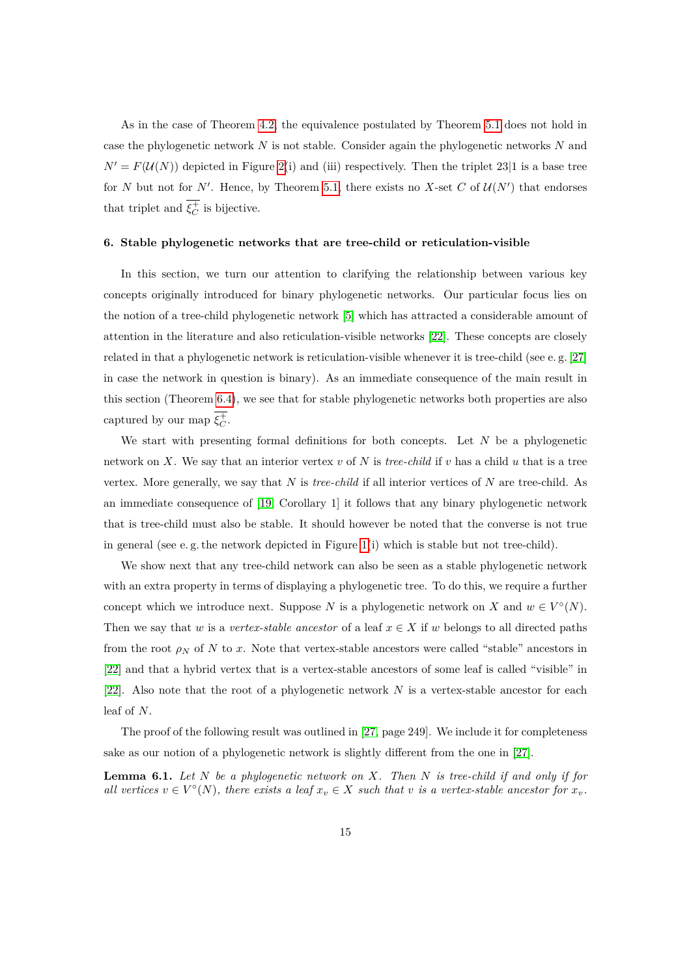As in the case of Theorem [4.2,](#page-11-1) the equivalence postulated by Theorem [5.1](#page-13-0) does not hold in case the phylogenetic network *N* is not stable. Consider again the phylogenetic networks *N* and  $N' = F(\mathcal{U}(N))$  depicted in Figure [2\(](#page-7-0)i) and (iii) respectively. Then the triplet 23|1 is a base tree for *N* but not for *N'*. Hence, by Theorem [5.1,](#page-13-0) there exists no *X*-set *C* of  $U(N')$  that endorses that triplet and  $\overline{\xi_C^+}$  is bijective.

#### <span id="page-14-0"></span>**6. Stable phylogenetic networks that are tree-child or reticulation-visible**

In this section, we turn our attention to clarifying the relationship between various key concepts originally introduced for binary phylogenetic networks. Our particular focus lies on the notion of a tree-child phylogenetic network [\[5\]](#page-22-4) which has attracted a considerable amount of attention in the literature and also reticulation-visible networks [\[22\]](#page-24-0). These concepts are closely related in that a phylogenetic network is reticulation-visible whenever it is tree-child (see e. g. [\[27\]](#page-24-1) in case the network in question is binary). As an immediate consequence of the main result in this section (Theorem [6.4\)](#page-17-0), we see that for stable phylogenetic networks both properties are also captured by our map  $\xi_C^+$ .

We start with presenting formal definitions for both concepts. Let *N* be a phylogenetic network on *X*. We say that an interior vertex *v* of *N* is *tree-child* if *v* has a child *u* that is a tree vertex. More generally, we say that *N* is *tree-child* if all interior vertices of *N* are tree-child. As an immediate consequence of [\[19,](#page-24-5) Corollary 1] it follows that any binary phylogenetic network that is tree-child must also be stable. It should however be noted that the converse is not true in general (see e. g. the network depicted in Figure [1\(](#page-1-1)i) which is stable but not tree-child).

We show next that any tree-child network can also be seen as a stable phylogenetic network with an extra property in terms of displaying a phylogenetic tree. To do this, we require a further concept which we introduce next. Suppose *N* is a phylogenetic network on *X* and  $w \in V^{\circ}(N)$ . Then we say that *w* is a *vertex-stable ancestor* of a leaf  $x \in X$  if *w* belongs to all directed paths from the root  $\rho_N$  of  $N$  to  $x$ . Note that vertex-stable ancestors were called "stable" ancestors in [\[22\]](#page-24-0) and that a hybrid vertex that is a vertex-stable ancestors of some leaf is called "visible" in [\[22\]](#page-24-0). Also note that the root of a phylogenetic network *N* is a vertex-stable ancestor for each leaf of *N*.

The proof of the following result was outlined in [\[27,](#page-24-1) page 249]. We include it for completeness sake as our notion of a phylogenetic network is slightly different from the one in [\[27\]](#page-24-1).

<span id="page-14-1"></span>**Lemma 6.1.** *Let N be a phylogenetic network on X. Then N is tree-child if and only if for all vertices*  $v \in V^{\circ}(N)$ , there exists a leaf  $x_v \in X$  such that v is a vertex-stable ancestor for  $x_v$ .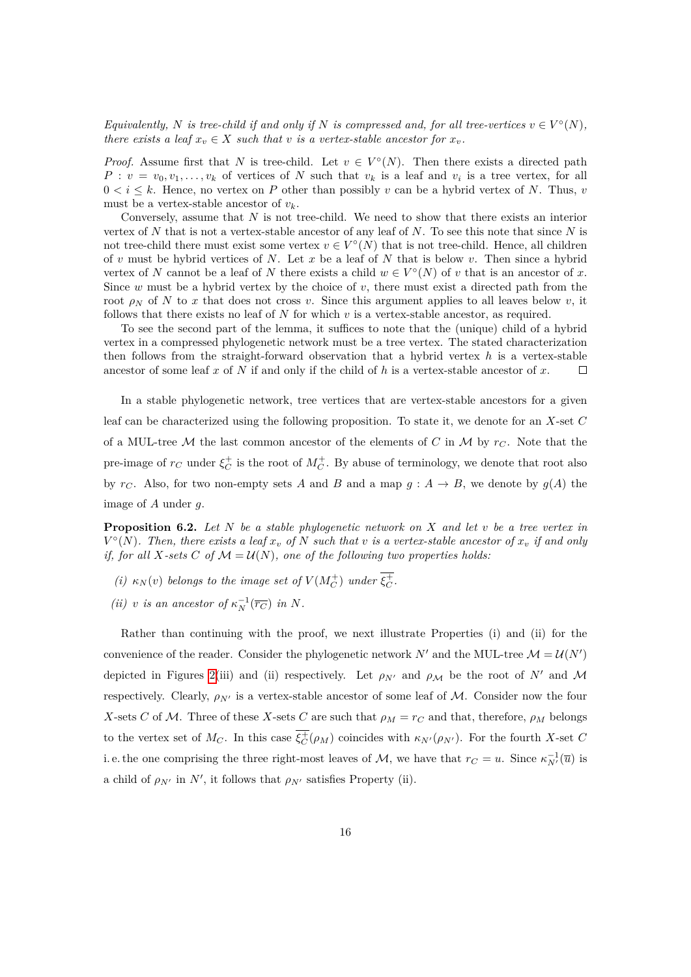*Equivalently, N is tree-child if and only if N is compressed and, for all tree-vertices*  $v \in V^{\circ}(N)$ *, there exists a leaf*  $x_v \in X$  *such that v is a vertex-stable ancestor for*  $x_v$ *.* 

*Proof.* Assume first that *N* is tree-child. Let  $v \in V^{\circ}(N)$ . Then there exists a directed path  $P: v = v_0, v_1, \ldots, v_k$  of vertices of *N* such that  $v_k$  is a leaf and  $v_i$  is a tree vertex, for all  $0 < i \leq k$ . Hence, no vertex on *P* other than possibly *v* can be a hybrid vertex of *N*. Thus, *v* must be a vertex-stable ancestor of  $v_k$ .

Conversely, assume that *N* is not tree-child. We need to show that there exists an interior vertex of *N* that is not a vertex-stable ancestor of any leaf of *N*. To see this note that since *N* is not tree-child there must exist some vertex  $v \in V^{\circ}(N)$  that is not tree-child. Hence, all children of *v* must be hybrid vertices of *N*. Let *x* be a leaf of *N* that is below *v*. Then since a hybrid vertex of *N* cannot be a leaf of *N* there exists a child  $w \in V^{\circ}(N)$  of *v* that is an ancestor of *x*. Since  $w$  must be a hybrid vertex by the choice of  $v$ , there must exist a directed path from the root  $\rho_N$  of N to x that does not cross v. Since this argument applies to all leaves below v, it follows that there exists no leaf of  $N$  for which  $v$  is a vertex-stable ancestor, as required.

To see the second part of the lemma, it suffices to note that the (unique) child of a hybrid vertex in a compressed phylogenetic network must be a tree vertex. The stated characterization then follows from the straight-forward observation that a hybrid vertex *h* is a vertex-stable ancestor of some leaf *x* of *N* if and only if the child of *h* is a vertex-stable ancestor of *x*.  $\Box$ 

In a stable phylogenetic network, tree vertices that are vertex-stable ancestors for a given leaf can be characterized using the following proposition. To state it, we denote for an *X*-set *C* of a MUL-tree M the last common ancestor of the elements of C in M by  $r<sub>C</sub>$ . Note that the pre-image of  $r_C$  under  $\xi_C^+$  is the root of  $M_C^+$ . By abuse of terminology, we denote that root also by  $r_C$ . Also, for two non-empty sets *A* and *B* and a map  $g : A \to B$ , we denote by  $g(A)$  the image of *A* under *g*.

<span id="page-15-0"></span>**Proposition 6.2.** *Let N be a stable phylogenetic network on X and let v be a tree vertex in*  $V^{\circ}(N)$ . Then, there exists a leaf  $x_v$  of N such that v is a vertex-stable ancestor of  $x_v$  if and only *if, for all X*-sets *C of*  $M = U(N)$ *, one of the following two properties holds:* 

- *(i)*  $\kappa_N(v)$  *belongs to the image set of*  $V(M_C^+)$  *under*  $\overline{\xi_C^+}$ .
- *(ii) v is an ancestor of*  $\kappa_N^{-1}(\overline{r_C})$  *in N*.

Rather than continuing with the proof, we next illustrate Properties (i) and (ii) for the convenience of the reader. Consider the phylogenetic network  $N'$  and the MUL-tree  $\mathcal{M} = \mathcal{U}(N')$ depicted in Figures [2\(](#page-7-0)iii) and (ii) respectively. Let  $\rho_{N'}$  and  $\rho_{\mathcal{M}}$  be the root of N' and M respectively. Clearly,  $\rho_{N'}$  is a vertex-stable ancestor of some leaf of M. Consider now the four *X*-sets *C* of *M*. Three of these *X*-sets *C* are such that  $\rho_M = r_C$  and that, therefore,  $\rho_M$  belongs to the vertex set of  $M_C$ . In this case  $\xi_C^+(\rho_M)$  coincides with  $\kappa_{N'}(\rho_{N'})$ . For the fourth X-set *C* i. e. the one comprising the three right-most leaves of  $M$ , we have that  $r_C = u$ . Since  $\kappa_{N'}^{-1}(\overline{u})$  is a child of  $\rho_{N'}$  in  $N'$ , it follows that  $\rho_{N'}$  satisfies Property (ii).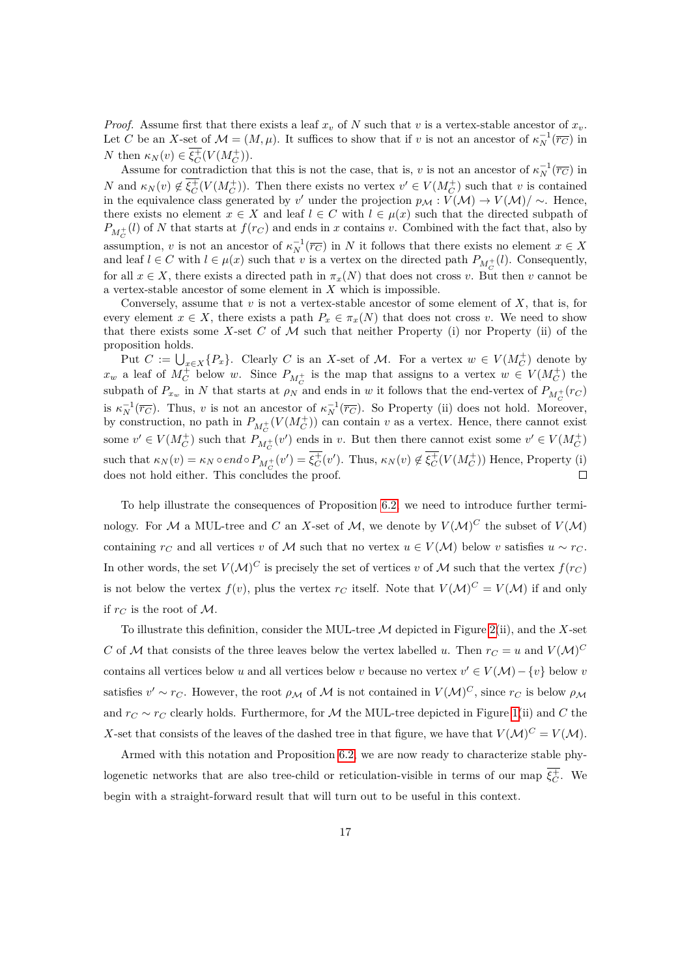*Proof.* Assume first that there exists a leaf  $x_v$  of N such that v is a vertex-stable ancestor of  $x_v$ . Let *C* be an *X*-set of  $\mathcal{M} = (M, \mu)$ . It suffices to show that if *v* is not an ancestor of  $\kappa_N^{-1}(\overline{r_C})$  in *N* then  $\kappa_N(v) \in \xi_C^+(V(M_C^+)).$ 

Assume for contradiction that this is not the case, that is, *v* is not an ancestor of  $\kappa_N^{-1}(\overline{r_C})$  in *N* and  $\kappa_N(v) \notin \xi_C^+(V(M_C^+))$ . Then there exists no vertex  $v' \in V(M_C^+)$  such that *v* is contained in the equivalence class generated by *v*' under the projection  $p_{\mathcal{M}} : V(\mathcal{M}) \to V(\mathcal{M})/\sim$ . Hence, there exists no element  $x \in X$  and leaf  $l \in C$  with  $l \in \mu(x)$  such that the directed subpath of  $P_{M_{\alpha}^{+}}(l)$  of *N* that starts at  $f(r_C)$  and ends in *x* contains *v*. Combined with the fact that, also by assumption, *v* is not an ancestor of  $\kappa_N^{-1}(\overline{r_C})$  in *N* it follows that there exists no element  $x \in X$ and leaf  $l \in C$  with  $l \in \mu(x)$  such that  $v$  is a vertex on the directed path  $P_{M_C^+}(l)$ . Consequently, for all  $x \in X$ , there exists a directed path in  $\pi_x(N)$  that does not cross *v*. But then *v* cannot be a vertex-stable ancestor of some element in *X* which is impossible.

Conversely, assume that  $v$  is not a vertex-stable ancestor of some element of  $X$ , that is, for every element  $x \in X$ , there exists a path  $P_x \in \pi_x(N)$  that does not cross *v*. We need to show that there exists some  $X$ -set  $C$  of  $M$  such that neither Property (i) nor Property (ii) of the proposition holds.

Put  $C := \bigcup_{x \in X} \{P_x\}.$  Clearly  $C$  is an  $X$ -set of  $M$ . For a vertex  $w \in V(M_C^+)$  denote by  $x_w$  a leaf of  $M_C^+$  below *w*. Since  $P_{M_C^+}$  is the map that assigns to a vertex  $w \in V(M_C^+)$  the subpath of  $P_{x_w}$  in *N* that starts at  $\rho_N$  and ends in *w* it follows that the end-vertex of  $P_{M_C^+}(r_C)$ is  $\kappa_N^{-1}(\overline{r_C})$ . Thus, *v* is not an ancestor of  $\kappa_N^{-1}(\overline{r_C})$ . So Property (ii) does not hold. Moreover, by construction, no path in  $P_{M_C^+}(V(M_C^+))$  can contain *v* as a vertex. Hence, there cannot exist some  $v' \in V(M_C^+)$  such that  $P_{M_C^+}(v')$  ends in *v*. But then there cannot exist some  $v' \in V(M_C^+)$ such that  $\kappa_N(v) = \kappa_N \circ end \circ P_{M_C^+}(v') = \xi_C^+(v')$ . Thus,  $\kappa_N(v) \notin \xi_C^+(V(M_C^+))$  Hence, Property (i) does not hold either. This concludes the proof.  $\Box$ 

To help illustrate the consequences of Proposition [6.2,](#page-15-0) we need to introduce further terminology. For M a MUL-tree and C an X-set of M, we denote by  $V(M)^C$  the subset of  $V(M)$ containing  $r_C$  and all vertices *v* of M such that no vertex  $u \in V(\mathcal{M})$  below *v* satisfies  $u \sim r_C$ . In other words, the set  $V(M)^C$  is precisely the set of vertices *v* of M such that the vertex  $f(r_C)$ is not below the vertex  $f(v)$ , plus the vertex  $r_C$  itself. Note that  $V(\mathcal{M})^C = V(\mathcal{M})$  if and only if  $r_C$  is the root of M.

To illustrate this definition, consider the MUL-tree M depicted in Figure [2\(](#page-7-0)ii), and the *X*-set *C* of M that consists of the three leaves below the vertex labelled *u*. Then  $r_C = u$  and  $V(M)^C$ contains all vertices below *u* and all vertices below *v* because no vertex  $v' \in V(\mathcal{M}) - \{v\}$  below *v* satisfies  $v' \sim r_C$ . However, the root  $\rho_M$  of M is not contained in  $V(M)^C$ , since  $r_C$  is below  $\rho_M$ and  $r_C \sim r_C$  clearly holds. Furthermore, for M the MUL-tree depicted in Figure [1\(](#page-1-1)ii) and C the *X*-set that consists of the leaves of the dashed tree in that figure, we have that  $V(M)^C = V(M)$ .

<span id="page-16-0"></span>Armed with this notation and Proposition [6.2,](#page-15-0) we are now ready to characterize stable phylogenetic networks that are also tree-child or reticulation-visible in terms of our map  $\overline{\xi_C^+}$ . We begin with a straight-forward result that will turn out to be useful in this context.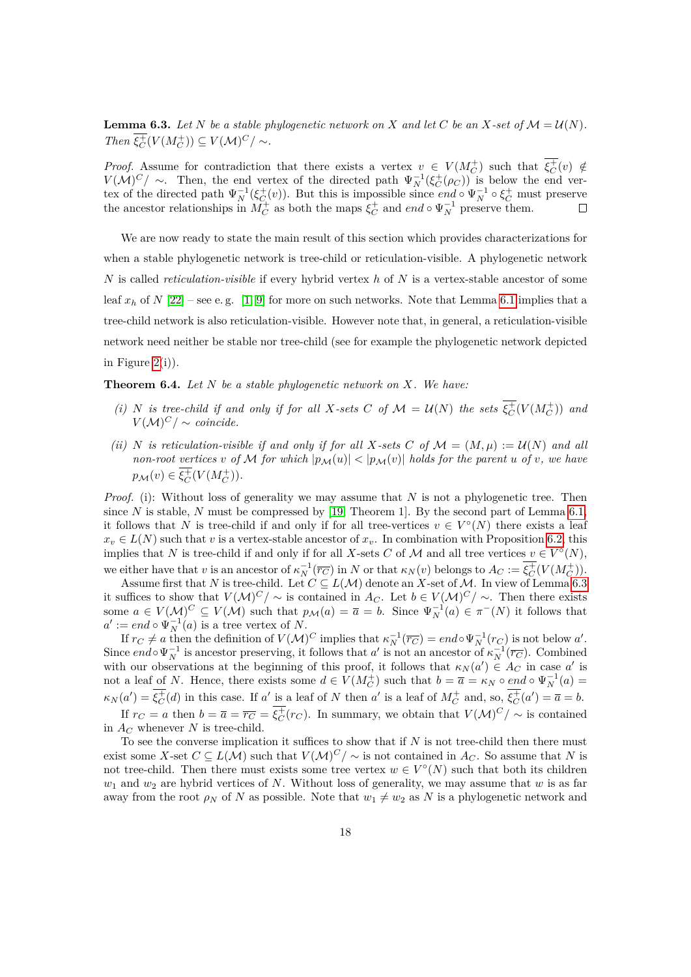**Lemma 6.3.** Let N be a stable phylogenetic network on X and let C be an X-set of  $M = U(N)$ .  $\mathcal{F}_C^+(V(M_C^+)) \subseteq V(\mathcal{M})^C / \sim$ *.* 

*Proof.* Assume for contradiction that there exists a vertex  $v \in V(M_C^+)$  such that  $\xi_C^+(v) \notin$ *V*(*M*)<sup>*C*</sup> */* ∼. Then, the end vertex of the directed path  $\Psi_N^{-1}(\xi_C^+(\rho_C))$  is below the end vertex of the directed path  $\Psi_N^{-1}(\xi_C^+(v))$ . But this is impossible since *end* ∘  $\Psi_N^{-1} \circ \xi_C^+$  must preserve the ancestor relationships in  $M_C^+$  as both the maps  $\xi_C^+$  and end  $\circ \Psi_N^{-1}$  preserve them.

We are now ready to state the main result of this section which provides characterizations for when a stable phylogenetic network is tree-child or reticulation-visible. A phylogenetic network *N* is called *reticulation-visible* if every hybrid vertex *h* of *N* is a vertex-stable ancestor of some leaf  $x_h$  of N [\[22\]](#page-24-0) – see e.g. [\[1,](#page-22-2) [9\]](#page-23-8) for more on such networks. Note that Lemma [6.1](#page-14-1) implies that a tree-child network is also reticulation-visible. However note that, in general, a reticulation-visible network need neither be stable nor tree-child (see for example the phylogenetic network depicted in Figure  $2(i)$ ).

### <span id="page-17-0"></span>**Theorem 6.4.** *Let N be a stable phylogenetic network on X. We have:*

- *(i) N is tree-child if and only if for all X-sets C of*  $\mathcal{M} = \mathcal{U}(N)$  *the sets*  $\overline{\xi_C^+}(V(M_C^+))$  *and*  $V(M)^C/\sim$  *coincide.*
- *(ii) N is reticulation-visible if and only if for all*  $X$ *-sets*  $C$  *of*  $\mathcal{M} = (M, \mu) := \mathcal{U}(N)$  *and all non-root vertices v of* M *for which*  $|p_M(u)| < |p_M(v)|$  *holds for the parent u of v, we have*  $p_{\mathcal{M}}(v) \in \xi_C^+(V(M_C^+)).$

*Proof.* (i): Without loss of generality we may assume that *N* is not a phylogenetic tree. Then since  $N$  is stable,  $N$  must be compressed by [\[19,](#page-24-5) Theorem 1]. By the second part of Lemma [6.1,](#page-14-1) it follows that *N* is tree-child if and only if for all tree-vertices  $v \in V^{\circ}(N)$  there exists a leaf  $x_v \in L(N)$  such that *v* is a vertex-stable ancestor of  $x_v$ . In combination with Proposition [6.2,](#page-15-0) this implies that *N* is tree-child if and only if for all *X*-sets *C* of *M* and all tree vertices  $v \in V^{\circ}(N)$ , we either have that *v* is an ancestor of  $\kappa_N^{-1}(\overline{r_C})$  in *N* or that  $\kappa_N(v)$  belongs to  $A_C := \overline{\xi_C^+}(V(M_C^+))$ .

Assume first that *N* is tree-child. Let  $C \subseteq L(\mathcal{M})$  denote an *X*-set of *M*. In view of Lemma [6.3](#page-16-0) it suffices to show that  $V(M)^C/\sim$  is contained in  $A_C$ . Let  $b \in V(M)^C/\sim$ . Then there exists some  $a \in V(\mathcal{M})^C \subseteq V(\mathcal{M})$  such that  $p_{\mathcal{M}}(a) = \overline{a} = b$ . Since  $\Psi_N^{-1}(a) \in \pi^{-}(N)$  it follows that  $a' := end \circ \Psi_N^{-1}(a)$  is a tree vertex of *N*.

If  $r_C \neq a$  then the definition of  $V(\mathcal{M})^C$  implies that  $\kappa_N^{-1}(\overline{r_C}) = end \circ \Psi_N^{-1}(r_C)$  is not below a'. Since  $end \circ \Psi_N^{-1}$  is ancestor preserving, it follows that *a'* is not an ancestor of  $\kappa_N^{-1}(\overline{r_C})$ . Combined with our observations at the beginning of this proof, it follows that  $\kappa_N(a') \in A_C$  in case *a'* is not a leaf of *N*. Hence, there exists some  $d \in V(M_C^+)$  such that  $b = \overline{a} = \kappa_N \circ end \circ \Psi_N^{-1}(a) =$  $\kappa_N(a') = \overline{\xi_C^+(d)}$  in this case. If a' is a leaf of N then a' is a leaf of  $M_C^+$  and, so,  $\overline{\xi_C^+(a')} = \overline{a} = b$ . If  $r_C = a$  then  $b = \overline{a} = \overline{r_C} = \overline{\xi_C^+(r_C)}$ . In summary, we obtain that  $V(\mathcal{M})^C / \sim$  is contained in  $A_C$  whenever  $N$  is tree-child.

To see the converse implication it suffices to show that if *N* is not tree-child then there must exist some *X*-set  $C \subseteq L(\mathcal{M})$  such that  $V(\mathcal{M})^C/\sim$  is not contained in  $A_C$ . So assume that *N* is not tree-child. Then there must exists some tree vertex  $w \in V^{\circ}(N)$  such that both its children  $w_1$  and  $w_2$  are hybrid vertices of *N*. Without loss of generality, we may assume that *w* is as far away from the root  $\rho_N$  of N as possible. Note that  $w_1 \neq w_2$  as N is a phylogenetic network and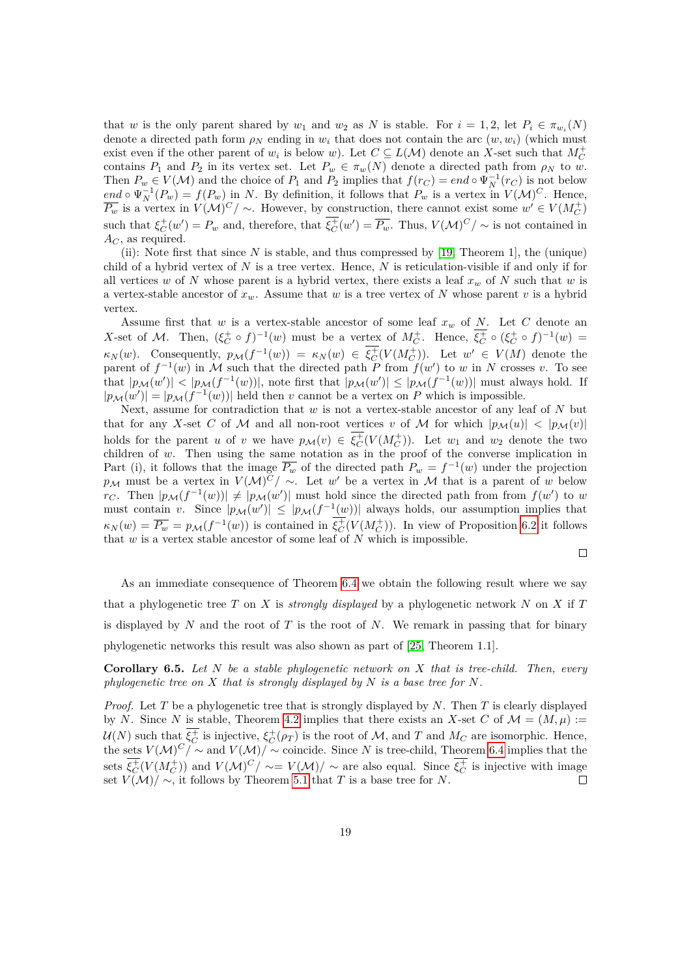that *w* is the only parent shared by  $w_1$  and  $w_2$  as  $N$  is stable. For  $i = 1, 2$ , let  $P_i \in \pi_{w_i}(N)$ denote a directed path form  $\rho_N$  ending in  $w_i$  that does not contain the arc  $(w, w_i)$  (which must exist even if the other parent of  $w_i$  is below *w*). Let  $C \subseteq L(\mathcal{M})$  denote an X-set such that  $M_C^+$ contains  $P_1$  and  $P_2$  in its vertex set. Let  $P_w \in \pi_w(N)$  denote a directed path from  $\rho_N$  to *w*. Then  $P_w \in V(\mathcal{M})$  and the choice of  $P_1$  and  $P_2$  implies that  $f(r_C) = end \circ \Psi_N^{-1}(r_C)$  is not below  $\underline{end} \circ \Psi_N^{-1}(P_w) = f(P_w)$  in *N*. By definition, it follows that  $P_w$  is a vertex in  $V(\mathcal{M})^C$ . Hence,  $\overline{P_w}$  is a vertex in  $V(M)^C/\sim$ . However, by construction, there cannot exist some  $w' \in V(M_C^+)$ such that  $\xi_C^+(w') = P_w$  and, therefore, that  $\xi_C^+(w') = \overline{P_w}$ . Thus,  $V(\mathcal{M})^C/\sim$  is not contained in *A<sup>C</sup>* , as required.

(ii): Note first that since *N* is stable, and thus compressed by [\[19,](#page-24-5) Theorem 1], the (unique) child of a hybrid vertex of *N* is a tree vertex. Hence, *N* is reticulation-visible if and only if for all vertices *w* of *N* whose parent is a hybrid vertex, there exists a leaf  $x<sub>w</sub>$  of *N* such that *w* is a vertex-stable ancestor of *xw*. Assume that *w* is a tree vertex of *N* whose parent *v* is a hybrid vertex.

Assume first that *w* is a vertex-stable ancestor of some leaf *x<sup>w</sup>* of *N*. Let *C* denote an *X*-set of *M*. Then,  $(\xi_C^+ \circ f)^{-1}(w)$  must be a vertex of  $M_C^+$ . Hence,  $\xi_C^+ \circ (\xi_C^+ \circ f)^{-1}(w) =$  $\kappa_N(w)$ . Consequently,  $p_{\mathcal{M}}(f^{-1}(w)) = \kappa_N(w) \in \xi_C^+(V(M_C^+))$ . Let  $w' \in V(M)$  denote the parent of  $f^{-1}(w)$  in M such that the directed path P from  $f(w')$  to w in N crosses v. To see that  $|p_{\mathcal{M}}(w')| < |p_{\mathcal{M}}(f^{-1}(w))|$ , note first that  $|p_{\mathcal{M}}(w')| \leq |p_{\mathcal{M}}(f^{-1}(w))|$  must always hold. If  $|p_M(w')| = |p_M(f^{-1}(w))|$  held then *v* cannot be a vertex on *P* which is impossible.

Next, assume for contradiction that *w* is not a vertex-stable ancestor of any leaf of *N* but that for any *X*-set *C* of *M* and all non-root vertices *v* of *M* for which  $|p_M(u)| < |p_M(v)|$ holds for the parent *u* of *v* we have  $p_{\mathcal{M}}(v) \in \xi_C^+(V(M_C^+))$ . Let  $w_1$  and  $w_2$  denote the two children of *w*. Then using the same notation as in the proof of the converse implication in Part (i), it follows that the image  $\overline{P_w}$  of the directed path  $P_w = f^{-1}(w)$  under the projection *p*<sub>M</sub> must be a vertex in  $V(M)^C/\sim$ . Let *w*' be a vertex in M that is a parent of *w* below *r<sub>C</sub>*. Then  $|p_{\mathcal{M}}(f^{-1}(w))| \neq |p_{\mathcal{M}}(w')|$  must hold since the directed path from from  $f(w')$  to *w* must contain *v*. Since  $|p_{\mathcal{M}}(w')| \leq |p_{\mathcal{M}}(f^{-1}(w))|$  always holds, our assumption implies that  $\kappa_N(w) = \overline{P_w} = p_{\mathcal{M}}(f^{-1}(w))$  is contained in  $\overline{\xi_C^+}(V(M_C^+))$ . In view of Proposition [6.2](#page-15-0) it follows that *w* is a vertex stable ancestor of some leaf of *N* which is impossible.

 $\Box$ 

As an immediate consequence of Theorem [6.4](#page-17-0) we obtain the following result where we say that a phylogenetic tree *T* on *X* is *strongly displayed* by a phylogenetic network *N* on *X* if *T* is displayed by *N* and the root of *T* is the root of *N*. We remark in passing that for binary phylogenetic networks this result was also shown as part of [\[25,](#page-24-7) Theorem 1.1].

<span id="page-18-0"></span>**Corollary 6.5.** *Let N be a stable phylogenetic network on X that is tree-child. Then, every phylogenetic tree on X that is strongly displayed by N is a base tree for N.*

*Proof.* Let *T* be a phylogenetic tree that is strongly displayed by *N*. Then *T* is clearly displayed by *N*. Since *N* is stable, Theorem [4.2](#page-11-1) implies that there exists an *X*-set *C* of  $\mathcal{M} = (M, \mu)$  :=  $\mathcal{U}(N)$  such that  $\overline{\xi_C^+}$  is injective,  $\xi_C^+(\rho_T)$  is the root of M, and T and  $M_C$  are isomorphic. Hence, the sets  $V(M)^C/\sim$  and  $V(M)/\sim$  coincide. Since *N* is tree-child, Theorem [6.4](#page-17-0) implies that the sets  $\xi_C^+(V(M_C^+))$  and  $V(M)^C/\sim=V(M)/\sim$  are also equal. Since  $\xi_C^+$  is injective with image set  $V(M)/\sim$ , it follows by Theorem [5.1](#page-13-0) that *T* is a base tree for *N*.  $\Box$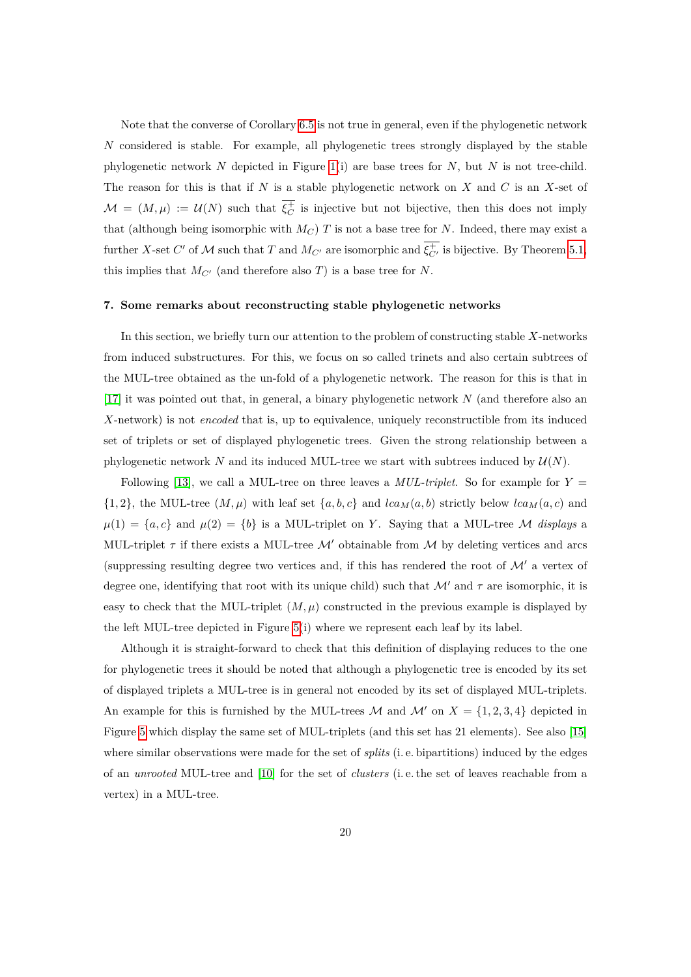Note that the converse of Corollary [6.5](#page-18-0) is not true in general, even if the phylogenetic network *N* considered is stable. For example, all phylogenetic trees strongly displayed by the stable phylogenetic network *N* depicted in Figure [1\(](#page-1-1)i) are base trees for *N*, but *N* is not tree-child. The reason for this is that if *N* is a stable phylogenetic network on *X* and *C* is an *X*-set of  $\mathcal{M} = (M, \mu) := \mathcal{U}(N)$  such that  $\overline{\xi_C^+}$  is injective but not bijective, then this does not imply that (although being isomorphic with  $M_C$ ) *T* is not a base tree for *N*. Indeed, there may exist a further *X*-set *C'* of *M* such that *T* and  $M_{C'}$  are isomorphic and  $\xi_{C'}^+$  is bijective. By Theorem [5.1,](#page-13-0) this implies that  $M_{C}$ <sup>0</sup> (and therefore also *T*) is a base tree for *N*.

#### <span id="page-19-0"></span>**7. Some remarks about reconstructing stable phylogenetic networks**

In this section, we briefly turn our attention to the problem of constructing stable *X*-networks from induced substructures. For this, we focus on so called trinets and also certain subtrees of the MUL-tree obtained as the un-fold of a phylogenetic network. The reason for this is that in [\[17\]](#page-23-9) it was pointed out that, in general, a binary phylogenetic network *N* (and therefore also an *X*-network) is not *encoded* that is, up to equivalence, uniquely reconstructible from its induced set of triplets or set of displayed phylogenetic trees. Given the strong relationship between a phylogenetic network N and its induced MUL-tree we start with subtrees induced by  $\mathcal{U}(N)$ .

Following [\[13\]](#page-23-10), we call a MUL-tree on three leaves a  $MUL-triplet$ . So for example for  $Y =$  $\{1,2\}$ , the MUL-tree  $(M,\mu)$  with leaf set  $\{a,b,c\}$  and  $lca_M(a,b)$  strictly below  $lca_M(a,c)$  and  $\mu(1) = \{a, c\}$  and  $\mu(2) = \{b\}$  is a MUL-triplet on *Y*. Saying that a MUL-tree *M* displays a MUL-triplet  $\tau$  if there exists a MUL-tree  $\mathcal{M}'$  obtainable from  $\mathcal M$  by deleting vertices and arcs (suppressing resulting degree two vertices and, if this has rendered the root of  $\mathcal{M}'$  a vertex of degree one, identifying that root with its unique child) such that  $\mathcal{M}'$  and  $\tau$  are isomorphic, it is easy to check that the MUL-triplet  $(M, \mu)$  constructed in the previous example is displayed by the left MUL-tree depicted in Figure [5\(](#page-20-0)i) where we represent each leaf by its label.

Although it is straight-forward to check that this definition of displaying reduces to the one for phylogenetic trees it should be noted that although a phylogenetic tree is encoded by its set of displayed triplets a MUL-tree is in general not encoded by its set of displayed MUL-triplets. An example for this is furnished by the MUL-trees  $\mathcal M$  and  $\mathcal M'$  on  $X = \{1, 2, 3, 4\}$  depicted in Figure [5](#page-20-0) which display the same set of MUL-triplets (and this set has 21 elements). See also [\[15\]](#page-23-2) where similar observations were made for the set of *splits* (i. e. bipartitions) induced by the edges of an *unrooted* MUL-tree and [\[10\]](#page-23-11) for the set of *clusters* (i. e. the set of leaves reachable from a vertex) in a MUL-tree.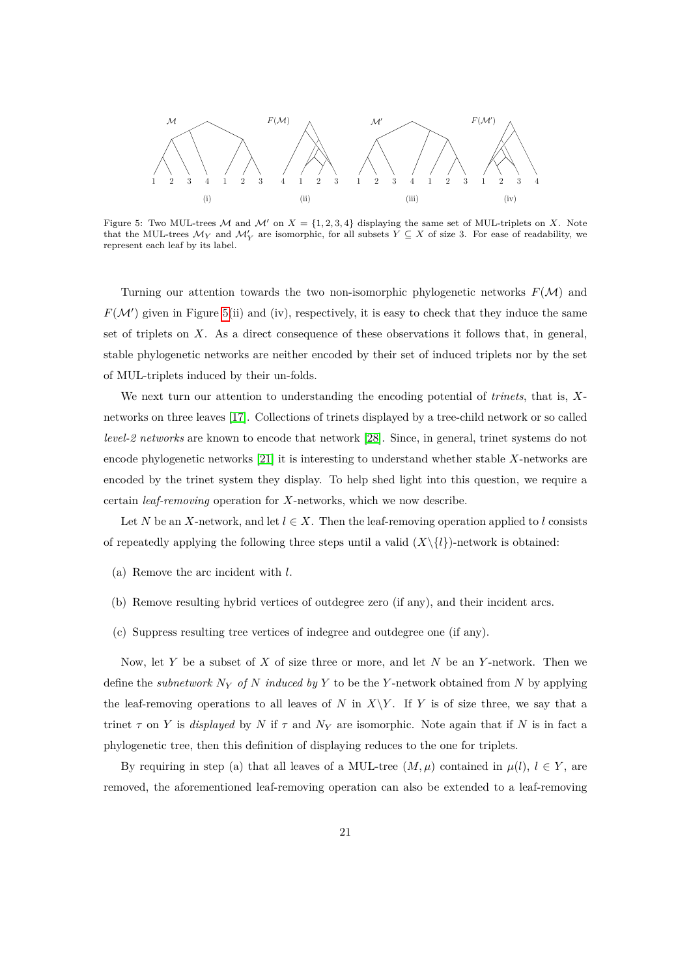

<span id="page-20-0"></span>Figure 5: Two MUL-trees M and  $\mathcal{M}'$  on  $X = \{1, 2, 3, 4\}$  displaying the same set of MUL-triplets on X. Note that the MUL-trees  $\mathcal{M}_Y$  and  $\mathcal{M}'_Y$  are isomorphic, for all subsets  $Y \subseteq X$  of size 3. For ease of readability, we represent each leaf by its label.

Turning our attention towards the two non-isomorphic phylogenetic networks  $F(M)$  and  $F(M')$  given in Figure [5\(](#page-20-0)ii) and (iv), respectively, it is easy to check that they induce the same set of triplets on *X*. As a direct consequence of these observations it follows that, in general, stable phylogenetic networks are neither encoded by their set of induced triplets nor by the set of MUL-triplets induced by their un-folds.

We next turn our attention to understanding the encoding potential of *trinets*, that is, *X*networks on three leaves [\[17\]](#page-23-9). Collections of trinets displayed by a tree-child network or so called *level-2 networks* are known to encode that network [\[28\]](#page-24-11). Since, in general, trinet systems do not encode phylogenetic networks [\[21\]](#page-24-12) it is interesting to understand whether stable *X*-networks are encoded by the trinet system they display. To help shed light into this question, we require a certain *leaf-removing* operation for *X*-networks, which we now describe.

Let *N* be an *X*-network, and let  $l \in X$ . Then the leaf-removing operation applied to *l* consists of repeatedly applying the following three steps until a valid  $(X\{\{l\})$ -network is obtained:

- (a) Remove the arc incident with *l*.
- (b) Remove resulting hybrid vertices of outdegree zero (if any), and their incident arcs.
- (c) Suppress resulting tree vertices of indegree and outdegree one (if any).

Now, let *Y* be a subset of *X* of size three or more, and let *N* be an *Y* -network. Then we define the *subnetwork*  $N_Y$  *of*  $N$  *induced by*  $Y$  to be the  $Y$ -network obtained from  $N$  by applying the leaf-removing operations to all leaves of *N* in  $X\Y$ . If *Y* is of size three, we say that a trinet  $\tau$  on *Y* is *displayed* by *N* if  $\tau$  and  $N_Y$  are isomorphic. Note again that if *N* is in fact a phylogenetic tree, then this definition of displaying reduces to the one for triplets.

By requiring in step (a) that all leaves of a MUL-tree  $(M, \mu)$  contained in  $\mu(l), l \in Y$ , are removed, the aforementioned leaf-removing operation can also be extended to a leaf-removing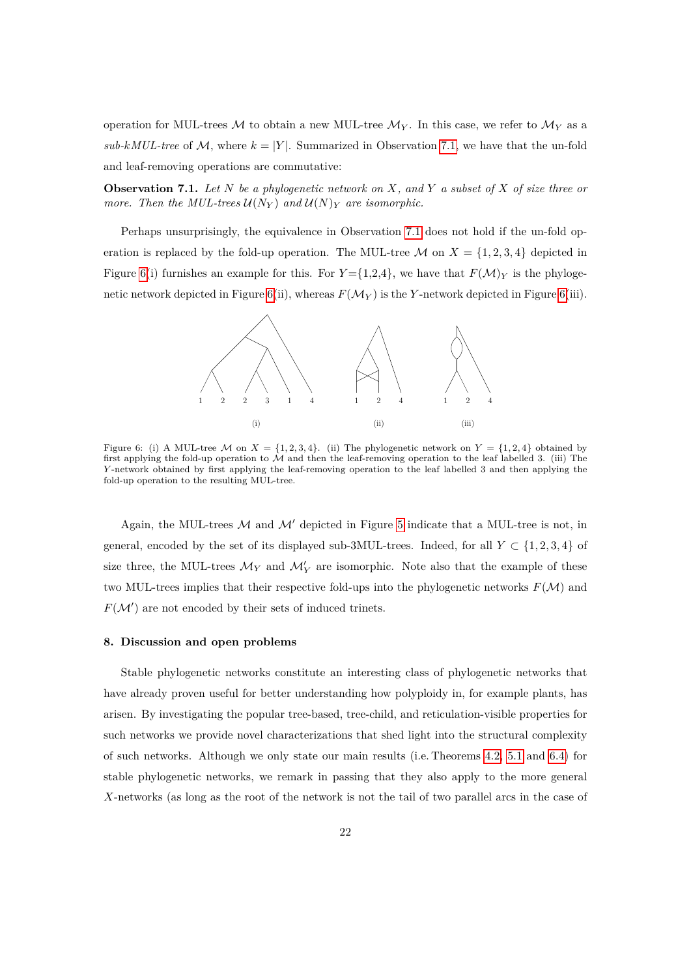operation for MUL-trees  $M$  to obtain a new MUL-tree  $M_Y$ . In this case, we refer to  $M_Y$  as a *sub-kMUL-tree* of  $M$ , where  $k = |Y|$ . Summarized in Observation [7.1,](#page-21-1) we have that the un-fold and leaf-removing operations are commutative:

<span id="page-21-1"></span>**Observation 7.1.** *Let N be a phylogenetic network on X, and Y a subset of X of size three or more. Then the MUL-trees*  $U(N_Y)$  *and*  $U(N)_Y$  *are isomorphic.* 

Perhaps unsurprisingly, the equivalence in Observation [7.1](#page-21-1) does not hold if the un-fold operation is replaced by the fold-up operation. The MUL-tree  $\mathcal{M}$  on  $X = \{1, 2, 3, 4\}$  depicted in Figure [6\(](#page-21-2)i) furnishes an example for this. For  $Y = \{1,2,4\}$ , we have that  $F(\mathcal{M})_Y$  is the phyloge-netic network depicted in Figure [6\(](#page-21-2)ii), whereas  $F(\mathcal{M}_Y)$  is the *Y*-network depicted in Figure 6(iii).



<span id="page-21-2"></span>Figure 6: (i) A MUL-tree M on  $X = \{1, 2, 3, 4\}$ . (ii) The phylogenetic network on  $Y = \{1, 2, 4\}$  obtained by first applying the fold-up operation to  $\dot{M}$  and then the leaf-removing operation to the leaf labelled 3. (iii) The *Y* -network obtained by first applying the leaf-removing operation to the leaf labelled 3 and then applying the fold-up operation to the resulting MUL-tree.

Again, the MUL-trees  $\mathcal M$  and  $\mathcal M'$  depicted in Figure [5](#page-20-0) indicate that a MUL-tree is not, in general, encoded by the set of its displayed sub-3MUL-trees. Indeed, for all  $Y \subset \{1, 2, 3, 4\}$  of size three, the MUL-trees  $\mathcal{M}_Y$  and  $\mathcal{M}'_Y$  are isomorphic. Note also that the example of these two MUL-trees implies that their respective fold-ups into the phylogenetic networks  $F(\mathcal{M})$  and  $F(M')$  are not encoded by their sets of induced trinets.

#### <span id="page-21-0"></span>**8. Discussion and open problems**

Stable phylogenetic networks constitute an interesting class of phylogenetic networks that have already proven useful for better understanding how polyploidy in, for example plants, has arisen. By investigating the popular tree-based, tree-child, and reticulation-visible properties for such networks we provide novel characterizations that shed light into the structural complexity of such networks. Although we only state our main results (i.e. Theorems [4.2,](#page-11-1) [5.1](#page-13-0) and [6.4\)](#page-17-0) for stable phylogenetic networks, we remark in passing that they also apply to the more general *X*-networks (as long as the root of the network is not the tail of two parallel arcs in the case of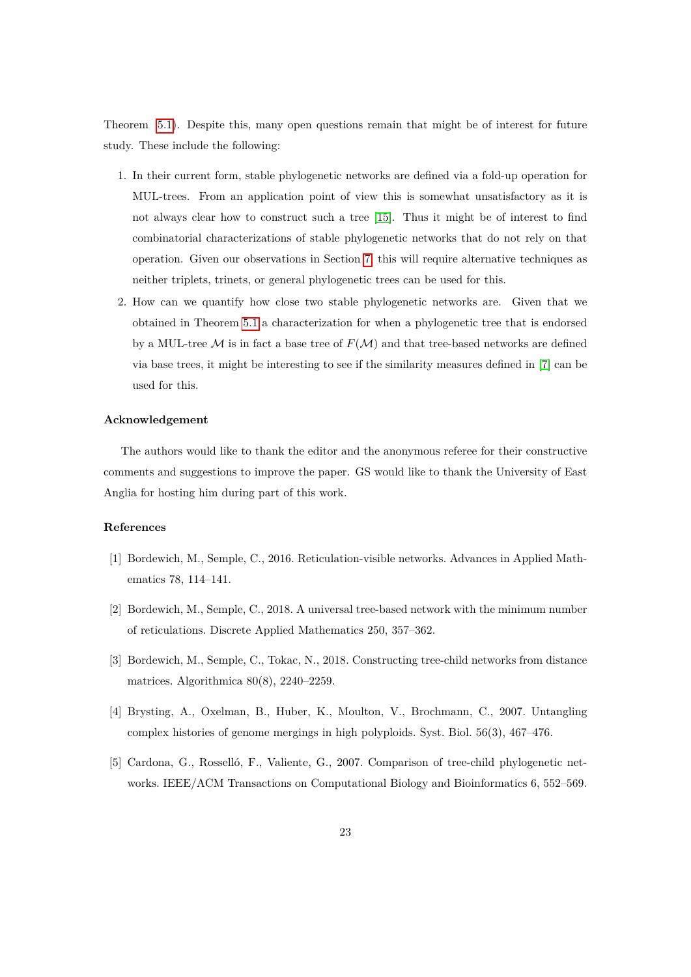Theorem [5.1\)](#page-13-0). Despite this, many open questions remain that might be of interest for future study. These include the following:

- 1. In their current form, stable phylogenetic networks are defined via a fold-up operation for MUL-trees. From an application point of view this is somewhat unsatisfactory as it is not always clear how to construct such a tree [\[15\]](#page-23-2). Thus it might be of interest to find combinatorial characterizations of stable phylogenetic networks that do not rely on that operation. Given our observations in Section [7,](#page-19-0) this will require alternative techniques as neither triplets, trinets, or general phylogenetic trees can be used for this.
- 2. How can we quantify how close two stable phylogenetic networks are. Given that we obtained in Theorem [5.1](#page-13-0) a characterization for when a phylogenetic tree that is endorsed by a MUL-tree  $\mathcal M$  is in fact a base tree of  $F(\mathcal M)$  and that tree-based networks are defined via base trees, it might be interesting to see if the similarity measures defined in [\[7\]](#page-23-4) can be used for this.

### **Acknowledgement**

The authors would like to thank the editor and the anonymous referee for their constructive comments and suggestions to improve the paper. GS would like to thank the University of East Anglia for hosting him during part of this work.

# **References**

- <span id="page-22-2"></span>[1] Bordewich, M., Semple, C., 2016. Reticulation-visible networks. Advances in Applied Mathematics 78, 114–141.
- <span id="page-22-1"></span>[2] Bordewich, M., Semple, C., 2018. A universal tree-based network with the minimum number of reticulations. Discrete Applied Mathematics 250, 357–362.
- <span id="page-22-3"></span>[3] Bordewich, M., Semple, C., Tokac, N., 2018. Constructing tree-child networks from distance matrices. Algorithmica 80(8), 2240–2259.
- <span id="page-22-0"></span>[4] Brysting, A., Oxelman, B., Huber, K., Moulton, V., Brochmann, C., 2007. Untangling complex histories of genome mergings in high polyploids. Syst. Biol. 56(3), 467–476.
- <span id="page-22-4"></span>[5] Cardona, G., Rosselló, F., Valiente, G., 2007. Comparison of tree-child phylogenetic networks. IEEE/ACM Transactions on Computational Biology and Bioinformatics 6, 552–569.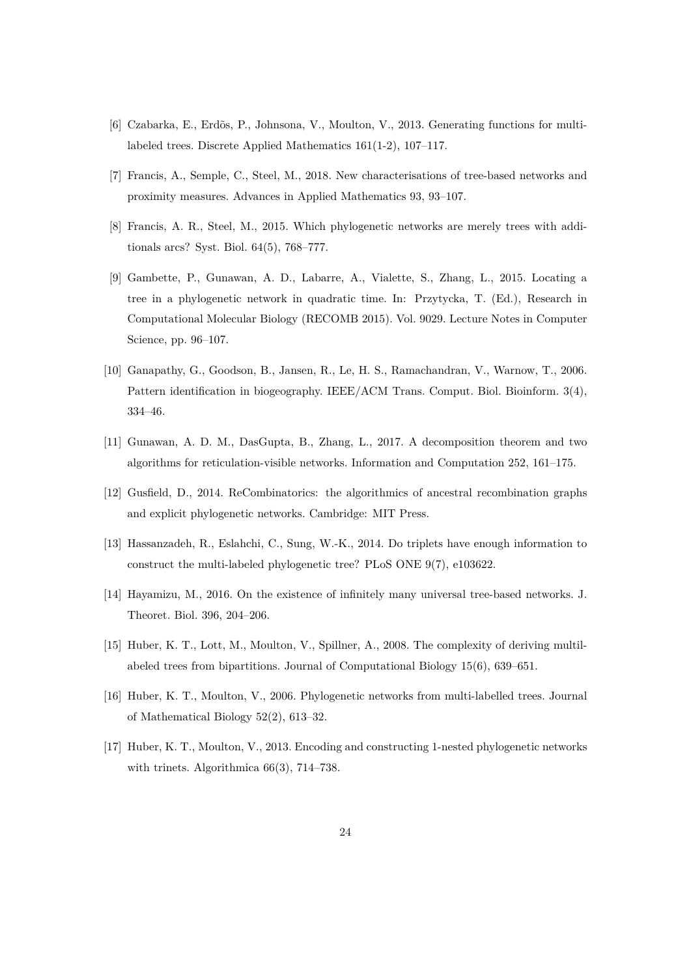- <span id="page-23-1"></span>[6] Czabarka, E., Erdõs, P., Johnsona, V., Moulton, V., 2013. Generating functions for multilabeled trees. Discrete Applied Mathematics 161(1-2), 107–117.
- <span id="page-23-4"></span>[7] Francis, A., Semple, C., Steel, M., 2018. New characterisations of tree-based networks and proximity measures. Advances in Applied Mathematics 93, 93–107.
- <span id="page-23-5"></span>[8] Francis, A. R., Steel, M., 2015. Which phylogenetic networks are merely trees with additionals arcs? Syst. Biol. 64(5), 768–777.
- <span id="page-23-8"></span>[9] Gambette, P., Gunawan, A. D., Labarre, A., Vialette, S., Zhang, L., 2015. Locating a tree in a phylogenetic network in quadratic time. In: Przytycka, T. (Ed.), Research in Computational Molecular Biology (RECOMB 2015). Vol. 9029. Lecture Notes in Computer Science, pp. 96–107.
- <span id="page-23-11"></span>[10] Ganapathy, G., Goodson, B., Jansen, R., Le, H. S., Ramachandran, V., Warnow, T., 2006. Pattern identification in biogeography. IEEE/ACM Trans. Comput. Biol. Bioinform. 3(4), 334–46.
- <span id="page-23-7"></span>[11] Gunawan, A. D. M., DasGupta, B., Zhang, L., 2017. A decomposition theorem and two algorithms for reticulation-visible networks. Information and Computation 252, 161–175.
- <span id="page-23-0"></span>[12] Gusfield, D., 2014. ReCombinatorics: the algorithmics of ancestral recombination graphs and explicit phylogenetic networks. Cambridge: MIT Press.
- <span id="page-23-10"></span>[13] Hassanzadeh, R., Eslahchi, C., Sung, W.-K., 2014. Do triplets have enough information to construct the multi-labeled phylogenetic tree? PLoS ONE 9(7), e103622.
- <span id="page-23-6"></span>[14] Hayamizu, M., 2016. On the existence of infinitely many universal tree-based networks. J. Theoret. Biol. 396, 204–206.
- <span id="page-23-2"></span>[15] Huber, K. T., Lott, M., Moulton, V., Spillner, A., 2008. The complexity of deriving multilabeled trees from bipartitions. Journal of Computational Biology 15(6), 639–651.
- <span id="page-23-3"></span>[16] Huber, K. T., Moulton, V., 2006. Phylogenetic networks from multi-labelled trees. Journal of Mathematical Biology 52(2), 613–32.
- <span id="page-23-9"></span>[17] Huber, K. T., Moulton, V., 2013. Encoding and constructing 1-nested phylogenetic networks with trinets. Algorithmica 66(3), 714–738.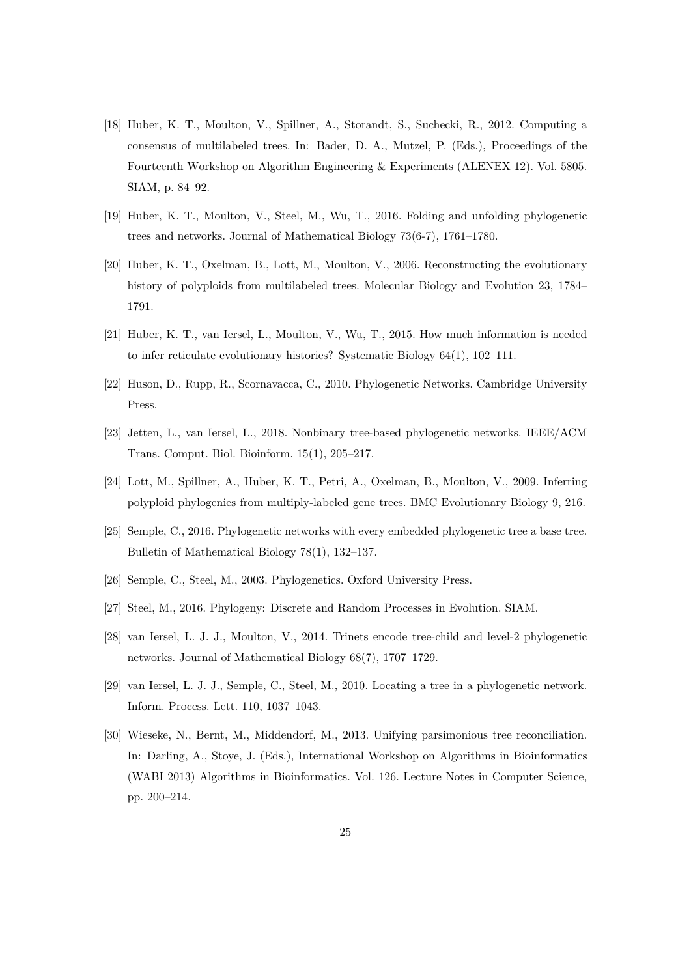- <span id="page-24-4"></span>[18] Huber, K. T., Moulton, V., Spillner, A., Storandt, S., Suchecki, R., 2012. Computing a consensus of multilabeled trees. In: Bader, D. A., Mutzel, P. (Eds.), Proceedings of the Fourteenth Workshop on Algorithm Engineering & Experiments (ALENEX 12). Vol. 5805. SIAM, p. 84–92.
- <span id="page-24-5"></span>[19] Huber, K. T., Moulton, V., Steel, M., Wu, T., 2016. Folding and unfolding phylogenetic trees and networks. Journal of Mathematical Biology 73(6-7), 1761–1780.
- <span id="page-24-2"></span>[20] Huber, K. T., Oxelman, B., Lott, M., Moulton, V., 2006. Reconstructing the evolutionary history of polyploids from multilabeled trees. Molecular Biology and Evolution 23, 1784– 1791.
- <span id="page-24-12"></span>[21] Huber, K. T., van Iersel, L., Moulton, V., Wu, T., 2015. How much information is needed to infer reticulate evolutionary histories? Systematic Biology 64(1), 102–111.
- <span id="page-24-0"></span>[22] Huson, D., Rupp, R., Scornavacca, C., 2010. Phylogenetic Networks. Cambridge University Press.
- <span id="page-24-8"></span>[23] Jetten, L., van Iersel, L., 2018. Nonbinary tree-based phylogenetic networks. IEEE/ACM Trans. Comput. Biol. Bioinform. 15(1), 205–217.
- <span id="page-24-3"></span>[24] Lott, M., Spillner, A., Huber, K. T., Petri, A., Oxelman, B., Moulton, V., 2009. Inferring polyploid phylogenies from multiply-labeled gene trees. BMC Evolutionary Biology 9, 216.
- <span id="page-24-7"></span>[25] Semple, C., 2016. Phylogenetic networks with every embedded phylogenetic tree a base tree. Bulletin of Mathematical Biology 78(1), 132–137.
- <span id="page-24-10"></span>[26] Semple, C., Steel, M., 2003. Phylogenetics. Oxford University Press.
- <span id="page-24-1"></span>[27] Steel, M., 2016. Phylogeny: Discrete and Random Processes in Evolution. SIAM.
- <span id="page-24-11"></span>[28] van Iersel, L. J. J., Moulton, V., 2014. Trinets encode tree-child and level-2 phylogenetic networks. Journal of Mathematical Biology 68(7), 1707–1729.
- <span id="page-24-9"></span>[29] van Iersel, L. J. J., Semple, C., Steel, M., 2010. Locating a tree in a phylogenetic network. Inform. Process. Lett. 110, 1037–1043.
- <span id="page-24-6"></span>[30] Wieseke, N., Bernt, M., Middendorf, M., 2013. Unifying parsimonious tree reconciliation. In: Darling, A., Stoye, J. (Eds.), International Workshop on Algorithms in Bioinformatics (WABI 2013) Algorithms in Bioinformatics. Vol. 126. Lecture Notes in Computer Science, pp. 200–214.